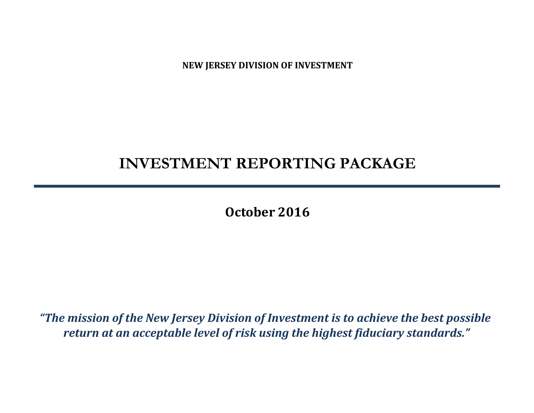**NEW JERSEY DIVISION OF INVESTMENT**

# **INVESTMENT REPORTING PACKAGE**

**October 2016**

*"The mission of the New Jersey Division of Investment is to achieve the best possible return at an acceptable level of risk using the highest fiduciary standards."*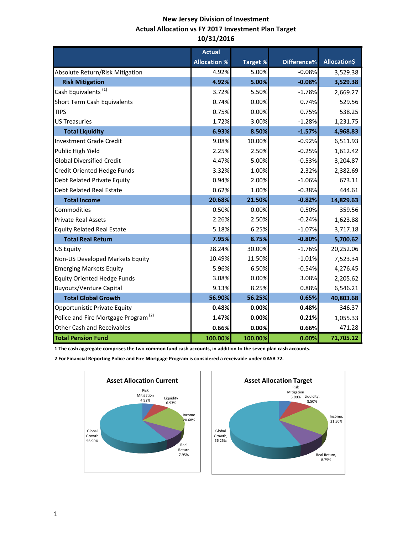## **New Jersey Division of Investment Actual Allocation vs FY 2017 Investment Plan Target 10/31/2016**

|                                                 | <b>Actual</b>       |                 |             |                     |
|-------------------------------------------------|---------------------|-----------------|-------------|---------------------|
|                                                 | <b>Allocation %</b> | <b>Target %</b> | Difference% | <b>Allocation\$</b> |
| Absolute Return/Risk Mitigation                 | 4.92%               | 5.00%           | $-0.08%$    | 3,529.38            |
| <b>Risk Mitigation</b>                          | 4.92%               | 5.00%           | $-0.08%$    | 3,529.38            |
| Cash Equivalents <sup>(1)</sup>                 | 3.72%               | 5.50%           | $-1.78%$    | 2,669.27            |
| <b>Short Term Cash Equivalents</b>              | 0.74%               | 0.00%           | 0.74%       | 529.56              |
| <b>TIPS</b>                                     | 0.75%               | 0.00%           | 0.75%       | 538.25              |
| <b>US Treasuries</b>                            | 1.72%               | 3.00%           | $-1.28%$    | 1,231.75            |
| <b>Total Liquidity</b>                          | 6.93%               | 8.50%           | $-1.57%$    | 4,968.83            |
| <b>Investment Grade Credit</b>                  | 9.08%               | 10.00%          | $-0.92%$    | 6,511.93            |
| Public High Yield                               | 2.25%               | 2.50%           | $-0.25%$    | 1,612.42            |
| <b>Global Diversified Credit</b>                | 4.47%               | 5.00%           | $-0.53%$    | 3,204.87            |
| <b>Credit Oriented Hedge Funds</b>              | 3.32%               | 1.00%           | 2.32%       | 2,382.69            |
| Debt Related Private Equity                     | 0.94%               | 2.00%           | $-1.06%$    | 673.11              |
| <b>Debt Related Real Estate</b>                 | 0.62%               | 1.00%           | $-0.38%$    | 444.61              |
| <b>Total Income</b>                             | 20.68%              | 21.50%          | $-0.82%$    | 14,829.63           |
| Commodities                                     | 0.50%               | 0.00%           | 0.50%       | 359.56              |
| <b>Private Real Assets</b>                      | 2.26%               | 2.50%           | $-0.24%$    | 1,623.88            |
| <b>Equity Related Real Estate</b>               | 5.18%               | 6.25%           | $-1.07%$    | 3,717.18            |
| <b>Total Real Return</b>                        | 7.95%               | 8.75%           | $-0.80%$    | 5,700.62            |
| <b>US Equity</b>                                | 28.24%              | 30.00%          | $-1.76%$    | 20,252.06           |
| Non-US Developed Markets Equity                 | 10.49%              | 11.50%          | $-1.01%$    | 7,523.34            |
| <b>Emerging Markets Equity</b>                  | 5.96%               | 6.50%           | $-0.54%$    | 4,276.45            |
| <b>Equity Oriented Hedge Funds</b>              | 3.08%               | 0.00%           | 3.08%       | 2,205.62            |
| <b>Buyouts/Venture Capital</b>                  | 9.13%               | 8.25%           | 0.88%       | 6,546.21            |
| <b>Total Global Growth</b>                      | 56.90%              | 56.25%          | 0.65%       | 40,803.68           |
| Opportunistic Private Equity                    | 0.48%               | 0.00%           | 0.48%       | 346.37              |
| Police and Fire Mortgage Program <sup>(2)</sup> | 1.47%               | 0.00%           | 0.21%       | 1,055.33            |
| <b>Other Cash and Receivables</b>               | 0.66%               | 0.00%           | 0.66%       | 471.28              |
| <b>Total Pension Fund</b>                       | 100.00%             | 100.00%         | 0.00%       | 71,705.12           |

**1 The cash aggregate comprises the two common fund cash accounts, in addition to the seven plan cash accounts.** 

**2 For Financial Reporting Police and Fire Mortgage Program is considered a receivable under GASB 72.**



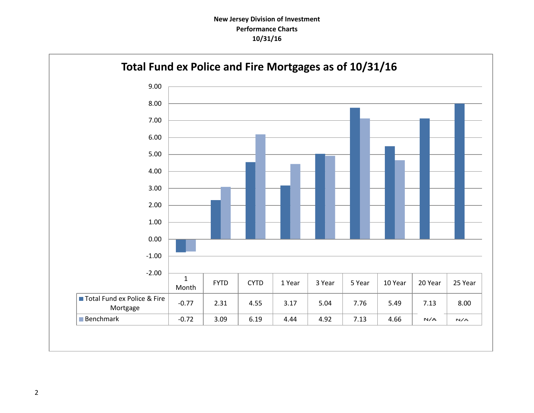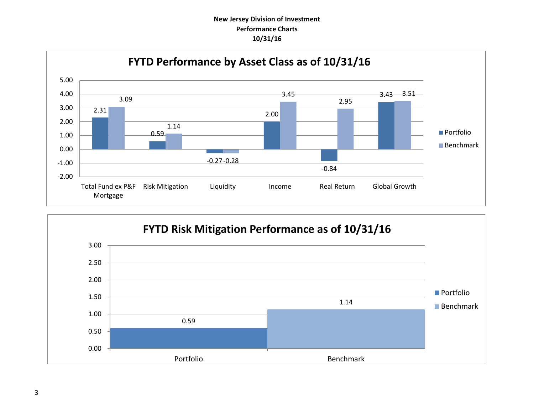## **New Jersey Division of Investment Performance Charts 10/31/16**



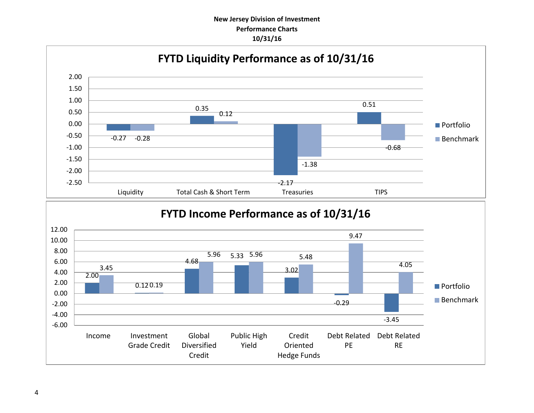## **New Jersey Division of Investment Performance Charts 10/31/16**

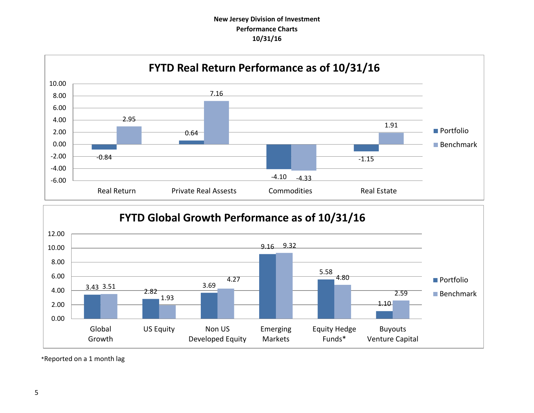## **New Jersey Division of Investment Performance Charts 10/31/16**





\*Reported on a 1 month lag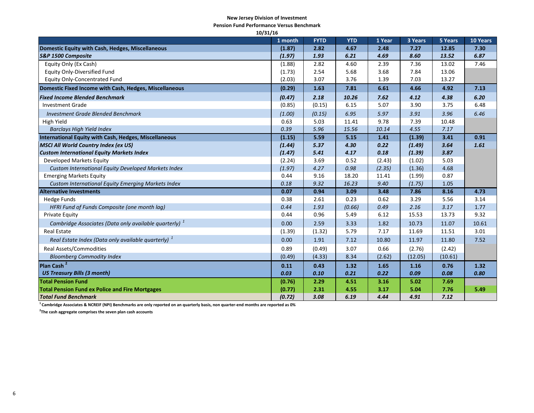#### **New Jersey Division of Investment**

**Pension Fund Performance Versus Benchmark**

| 10/31/16                                                          |         |             |            |        |         |         |          |
|-------------------------------------------------------------------|---------|-------------|------------|--------|---------|---------|----------|
|                                                                   | 1 month | <b>FYTD</b> | <b>YTD</b> | 1 Year | 3 Years | 5 Years | 10 Years |
| Domestic Equity with Cash, Hedges, Miscellaneous                  | (1.87)  | 2.82        | 4.67       | 2.48   | 7.27    | 12.85   | 7.30     |
| S&P 1500 Composite                                                | (1.97)  | 1.93        | 6.21       | 4.69   | 8.60    | 13.52   | 6.87     |
| Equity Only (Ex Cash)                                             | (1.88)  | 2.82        | 4.60       | 2.39   | 7.36    | 13.02   | 7.46     |
| <b>Equity Only-Diversified Fund</b>                               | (1.73)  | 2.54        | 5.68       | 3.68   | 7.84    | 13.06   |          |
| <b>Equity Only-Concentrated Fund</b>                              | (2.03)  | 3.07        | 3.76       | 1.39   | 7.03    | 13.27   |          |
| Domestic Fixed Income with Cash, Hedges, Miscellaneous            | (0.29)  | 1.63        | 7.81       | 6.61   | 4.66    | 4.92    | 7.13     |
| <b>Fixed Income Blended Benchmark</b>                             | (0.47)  | 2.18        | 10.26      | 7.62   | 4.12    | 4.38    | 6.20     |
| <b>Investment Grade</b>                                           | (0.85)  | (0.15)      | 6.15       | 5.07   | 3.90    | 3.75    | 6.48     |
| <b>Investment Grade Blended Benchmark</b>                         | (1.00)  | (0.15)      | 6.95       | 5.97   | 3.91    | 3.96    | 6.46     |
| High Yield                                                        | 0.63    | 5.03        | 11.41      | 9.78   | 7.39    | 10.48   |          |
| <b>Barclays High Yield Index</b>                                  | 0.39    | 5.96        | 15.56      | 10.14  | 4.55    | 7.17    |          |
| International Equity with Cash, Hedges, Miscellaneous             | (1.15)  | 5.59        | 5.15       | 1.41   | (1.39)  | 3.41    | 0.91     |
| <b>MSCI All World Country Index (ex US)</b>                       | (1.44)  | 5.37        | 4.30       | 0.22   | (1.49)  | 3.64    | 1.61     |
| <b>Custom International Equity Markets Index</b>                  | (1.47)  | 5.41        | 4.17       | 0.18   | (1.39)  | 3.87    |          |
| Developed Markets Equity                                          | (2.24)  | 3.69        | 0.52       | (2.43) | (1.02)  | 5.03    |          |
| Custom International Equity Developed Markets Index               | (1.97)  | 4.27        | 0.98       | (2.35) | (1.36)  | 4.68    |          |
| <b>Emerging Markets Equity</b>                                    | 0.44    | 9.16        | 18.20      | 11.41  | (1.99)  | 0.87    |          |
| Custom International Equity Emerging Markets Index                | 0.18    | 9.32        | 16.23      | 9.40   | (1.75)  | 1.05    |          |
| <b>Alternative Investments</b>                                    | 0.07    | 0.94        | 3.09       | 3.48   | 7.86    | 8.16    | 4.73     |
| <b>Hedge Funds</b>                                                | 0.38    | 2.61        | 0.23       | 0.62   | 3.29    | 5.56    | 3.14     |
| HFRI Fund of Funds Composite (one month lag)                      | 0.44    | 1.93        | (0.66)     | 0.49   | 2.16    | 3.17    | 1.77     |
| Private Equity                                                    | 0.44    | 0.96        | 5.49       | 6.12   | 15.53   | 13.73   | 9.32     |
| Cambridge Associates (Data only available quarterly) <sup>1</sup> | 0.00    | 2.59        | 3.33       | 1.82   | 10.73   | 11.07   | 10.61    |
| <b>Real Estate</b>                                                | (1.39)  | (1.32)      | 5.79       | 7.17   | 11.69   | 11.51   | 3.01     |
| Real Estate Index (Data only available quarterly) <sup>1</sup>    | 0.00    | 1.91        | 7.12       | 10.80  | 11.97   | 11.80   | 7.52     |
| <b>Real Assets/Commodities</b>                                    | 0.89    | (0.49)      | 3.07       | 0.66   | (2.76)  | (2.42)  |          |
| <b>Bloomberg Commodity Index</b>                                  | (0.49)  | (4.33)      | 8.34       | (2.62) | (12.05) | (10.61) |          |
| Plan Cash <sup>2</sup>                                            | 0.11    | 0.43        | 1.32       | 1.65   | 1.16    | 0.76    | 1.32     |
| <b>US Treasury Bills (3 month)</b>                                | 0.03    | 0.10        | 0.21       | 0.22   | 0.09    | 0.08    | 0.80     |
| <b>Total Pension Fund</b>                                         | (0.76)  | 2.29        | 4.51       | 3.16   | 5.02    | 7.69    |          |
| <b>Total Pension Fund ex Police and Fire Mortgages</b>            | (0.77)  | 2.31        | 4.55       | 3.17   | 5.04    | 7.76    | 5.49     |
| <b>Total Fund Benchmark</b>                                       | (0.72)  | 3.08        | 6.19       | 4.44   | 4.91    | 7.12    |          |

**<sup>1</sup>Cambridge Associates & NCREIF (NPI) Benchmarks are only reported on an quarterly basis, non quarter-end months are reported as 0%**

**2 The cash aggregate comprises the seven plan cash accounts**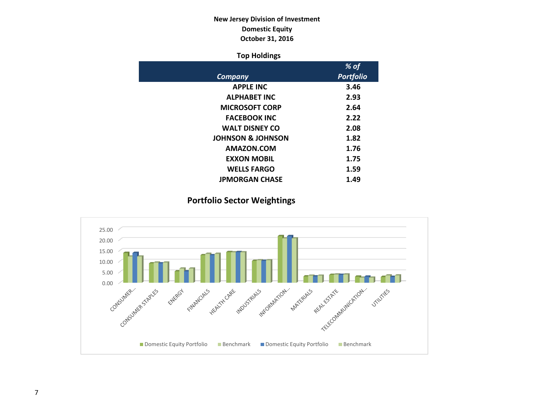## **New Jersey Division of Investment Domestic Equity October 31, 2016**

## **Top Holdings**

|                              | % of             |
|------------------------------|------------------|
| Company                      | <b>Portfolio</b> |
| <b>APPLE INC</b>             | 3.46             |
| <b>ALPHABET INC</b>          | 2.93             |
| <b>MICROSOFT CORP</b>        | 2.64             |
| <b>FACEBOOK INC</b>          | 2.22             |
| <b>WALT DISNEY CO</b>        | 2.08             |
| <b>JOHNSON &amp; JOHNSON</b> | 1.82             |
| AMAZON.COM                   | 1.76             |
| <b>EXXON MOBIL</b>           | 1.75             |
| <b>WELLS FARGO</b>           | 1.59             |
| <b>JPMORGAN CHASE</b>        | 1.49             |

## **Portfolio Sector Weightings**

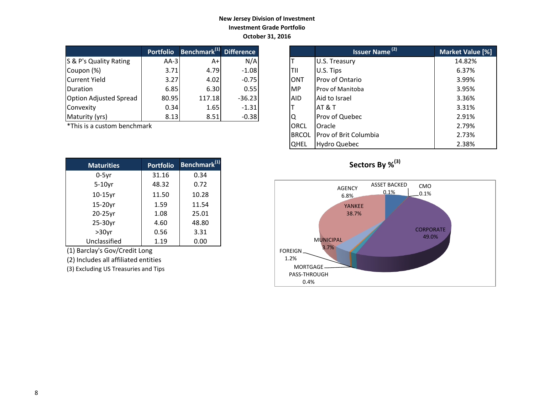### **New Jersey Division of Investment Investment Grade Portfolio October 31, 2016**

|                               | <b>Portfolio</b> | <b>Benchmark</b> <sup>(1)</sup> Difference |          |            | <b>Issuer Name<sup>(2)</sup></b> | <b>Market Valu</b> |
|-------------------------------|------------------|--------------------------------------------|----------|------------|----------------------------------|--------------------|
| S & P's Quality Rating        | $AA-3I$          | A+                                         | N/A      |            | U.S. Treasury                    | 14.82%             |
| Coupon (%)                    | 3.71             | 4.79                                       | $-1.08$  | ltii       | U.S. Tips                        | 6.37%              |
| Current Yield                 | 3.27             | 4.02                                       | $-0.75$  | <b>ONT</b> | Prov of Ontario                  | 3.99%              |
| <b>IDuration</b>              | 6.85             | 6.30                                       | 0.55     | IMP        | Prov of Manitoba                 | 3.95%              |
| <b>Option Adjusted Spread</b> | 80.95            | 117.18                                     | $-36.23$ | <b>AID</b> | Aid to Israel                    | 3.36%              |
| Convexity                     | 0.34             | 1.65                                       | $-1.31$  |            | <b>AT &amp; T</b>                | 3.31%              |
| Maturity (yrs)                | 8.13             | 8.51                                       | $-0.38$  | ΙQ         | Prov of Quebec                   | 2.91%              |

 $*$ This is a custom benchmark

| <b>Maturities</b> | <b>Portfolio</b> | Benchmark <sup>(1)</sup> |
|-------------------|------------------|--------------------------|
| $0-5$ yr          | 31.16            | 0.34                     |
| $5-10$ yr         | 48.32            | 0.72                     |
| $10-15$ yr        | 11.50            | 10.28                    |
| 15-20yr           | 1.59             | 11.54                    |
| 20-25yr           | 1.08             | 25.01                    |
| 25-30yr           | 4.60             | 48.80                    |
| $>30$ yr          | 0.56             | 3.31                     |
| Unclassified      | 1.19             | 0.00                     |

(1) Barclay's Gov/Credit Long

(2) Includes all affiliated entities

(3) Excluding US Treasuries and Tips

| <b>Portfolio</b> | Benchmark <sup>(1)</sup> Difference |          |              | <b>Issuer Name<sup>(2)</sup></b> | <b>Market Value [%]</b> |
|------------------|-------------------------------------|----------|--------------|----------------------------------|-------------------------|
| $AA-3$           | A+                                  | N/A      |              | U.S. Treasury                    | 14.82%                  |
| 3.71             | 4.79                                | $-1.08$  | TII          | U.S. Tips                        | 6.37%                   |
| 3.27             | 4.02                                | $-0.75$  | <b>ONT</b>   | Prov of Ontario                  | 3.99%                   |
| 6.85             | 6.30                                | 0.55     | <b>IMP</b>   | Prov of Manitoba                 | 3.95%                   |
| 80.95            | 117.18                              | $-36.23$ | AID.         | Aid to Israel                    | 3.36%                   |
| 0.34             | 1.65                                | $-1.31$  |              | AT&T                             | 3.31%                   |
| 8.13             | 8.51                                | $-0.38$  | ΙQ           | Prov of Quebec                   | 2.91%                   |
| ۰k               |                                     |          | ORCL         | Oracle                           | 2.79%                   |
|                  |                                     |          | <b>BRCOL</b> | Prov of Brit Columbia            | 2.73%                   |
|                  |                                     |          | <b>QHEL</b>  | Hydro Quebec                     | 2.38%                   |



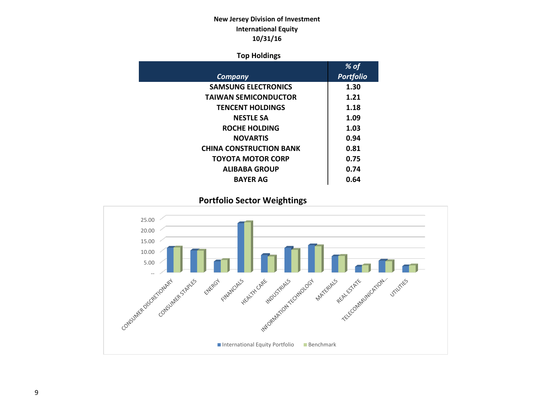## **New Jersey Division of Investment International Equity 10/31/16**

## **Top Holdings**

|                                | % of             |
|--------------------------------|------------------|
| Company                        | <b>Portfolio</b> |
| <b>SAMSUNG ELECTRONICS</b>     | 1.30             |
| <b>TAIWAN SEMICONDUCTOR</b>    | 1.21             |
| <b>TENCENT HOLDINGS</b>        | 1.18             |
| <b>NESTLE SA</b>               | 1.09             |
| <b>ROCHE HOLDING</b>           | 1.03             |
| <b>NOVARTIS</b>                | 0.94             |
| <b>CHINA CONSTRUCTION BANK</b> | 0.81             |
| <b>TOYOTA MOTOR CORP</b>       | 0.75             |
| <b>ALIBABA GROUP</b>           | 0.74             |
| <b>BAYER AG</b>                | 0.64             |

 **Portfolio Sector Weightings**

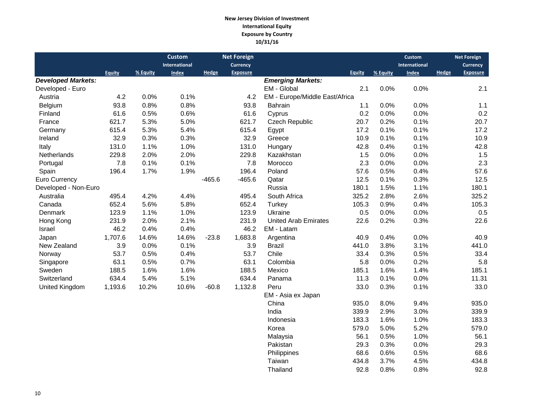#### **New Jersey Division of Investment International Equity Exposure by Country 10/31/16**

|                           |               |          | <b>Custom</b> |          | <b>Net Foreign</b> |                                |               |          | <b>Custom</b> |              | <b>Net Foreign</b> |
|---------------------------|---------------|----------|---------------|----------|--------------------|--------------------------------|---------------|----------|---------------|--------------|--------------------|
|                           |               |          | International |          | <b>Currency</b>    |                                |               |          | International |              | Currency           |
|                           | <b>Equity</b> | % Equity | <b>Index</b>  | Hedge    | <b>Exposure</b>    |                                | <b>Equity</b> | % Equity | <b>Index</b>  | <b>Hedge</b> | <b>Exposure</b>    |
| <b>Developed Markets:</b> |               |          |               |          |                    | <b>Emerging Markets:</b>       |               |          |               |              |                    |
| Developed - Euro          |               |          |               |          |                    | EM - Global                    | 2.1           | 0.0%     | 0.0%          |              | 2.1                |
| Austria                   | 4.2           | 0.0%     | 0.1%          |          | 4.2                | EM - Europe/Middle East/Africa |               |          |               |              |                    |
| Belgium                   | 93.8          | 0.8%     | 0.8%          |          | 93.8               | Bahrain                        | 1.1           | $0.0\%$  | 0.0%          |              | 1.1                |
| Finland                   | 61.6          | 0.5%     | 0.6%          |          | 61.6               | Cyprus                         | 0.2           | 0.0%     | 0.0%          |              | 0.2                |
| France                    | 621.7         | 5.3%     | 5.0%          |          | 621.7              | Czech Republic                 | 20.7          | 0.2%     | 0.1%          |              | 20.7               |
| Germany                   | 615.4         | 5.3%     | 5.4%          |          | 615.4              | Egypt                          | 17.2          | 0.1%     | 0.1%          |              | 17.2               |
| Ireland                   | 32.9          | 0.3%     | 0.3%          |          | 32.9               | Greece                         | 10.9          | 0.1%     | 0.1%          |              | 10.9               |
| Italy                     | 131.0         | 1.1%     | 1.0%          |          | 131.0              | Hungary                        | 42.8          | 0.4%     | 0.1%          |              | 42.8               |
| Netherlands               | 229.8         | 2.0%     | 2.0%          |          | 229.8              | Kazakhstan                     | 1.5           | 0.0%     | 0.0%          |              | 1.5                |
| Portugal                  | 7.8           | 0.1%     | 0.1%          |          | 7.8                | Morocco                        | 2.3           | 0.0%     | 0.0%          |              | 2.3                |
| Spain                     | 196.4         | 1.7%     | 1.9%          |          | 196.4              | Poland                         | 57.6          | 0.5%     | 0.4%          |              | 57.6               |
| Euro Currency             |               |          |               | $-465.6$ | $-465.6$           | Qatar                          | 12.5          | 0.1%     | 0.3%          |              | 12.5               |
| Developed - Non-Euro      |               |          |               |          |                    | Russia                         | 180.1         | 1.5%     | 1.1%          |              | 180.1              |
| Australia                 | 495.4         | 4.2%     | 4.4%          |          | 495.4              | South Africa                   | 325.2         | 2.8%     | 2.6%          |              | 325.2              |
| Canada                    | 652.4         | 5.6%     | 5.8%          |          | 652.4              | Turkey                         | 105.3         | 0.9%     | 0.4%          |              | 105.3              |
| Denmark                   | 123.9         | 1.1%     | 1.0%          |          | 123.9              | Ukraine                        | 0.5           | 0.0%     | 0.0%          |              | 0.5                |
| Hong Kong                 | 231.9         | 2.0%     | 2.1%          |          | 231.9              | <b>United Arab Emirates</b>    | 22.6          | 0.2%     | 0.3%          |              | 22.6               |
| Israel                    | 46.2          | 0.4%     | 0.4%          |          | 46.2               | EM - Latam                     |               |          |               |              |                    |
| Japan                     | 1,707.6       | 14.6%    | 14.6%         | $-23.8$  | 1,683.8            | Argentina                      | 40.9          | 0.4%     | 0.0%          |              | 40.9               |
| New Zealand               | 3.9           | 0.0%     | 0.1%          |          | 3.9                | <b>Brazil</b>                  | 441.0         | 3.8%     | 3.1%          |              | 441.0              |
| Norway                    | 53.7          | 0.5%     | 0.4%          |          | 53.7               | Chile                          | 33.4          | 0.3%     | 0.5%          |              | 33.4               |
| Singapore                 | 63.1          | 0.5%     | 0.7%          |          | 63.1               | Colombia                       | 5.8           | 0.0%     | 0.2%          |              | 5.8                |
| Sweden                    | 188.5         | 1.6%     | 1.6%          |          | 188.5              | Mexico                         | 185.1         | 1.6%     | 1.4%          |              | 185.1              |
| Switzerland               | 634.4         | 5.4%     | 5.1%          |          | 634.4              | Panama                         | 11.3          | 0.1%     | 0.0%          |              | 11.31              |
| <b>United Kingdom</b>     | 1,193.6       | 10.2%    | 10.6%         | $-60.8$  | 1,132.8            | Peru                           | 33.0          | 0.3%     | 0.1%          |              | 33.0               |
|                           |               |          |               |          |                    | EM - Asia ex Japan             |               |          |               |              |                    |
|                           |               |          |               |          |                    | China                          | 935.0         | 8.0%     | 9.4%          |              | 935.0              |
|                           |               |          |               |          |                    | India                          | 339.9         | 2.9%     | 3.0%          |              | 339.9              |
|                           |               |          |               |          |                    | Indonesia                      | 183.3         | 1.6%     | 1.0%          |              | 183.3              |
|                           |               |          |               |          |                    | Korea                          | 579.0         | 5.0%     | 5.2%          |              | 579.0              |
|                           |               |          |               |          |                    | Malaysia                       | 56.1          | 0.5%     | 1.0%          |              | 56.1               |
|                           |               |          |               |          |                    | Pakistan                       | 29.3          | 0.3%     | 0.0%          |              | 29.3               |

Pakistan 29.3 0.3% 0.0% 29.3<br>Philippines 68.6 0.6% 0.5% 68.6

Taiwan 134.8 3.7% 4.5% 434.8<br>Thailand 92.8 0.8% 0.8% 92.8

Philippines 68.6 0.6% 0.5%

Thailand 92.8 0.8% 0.8% 92.8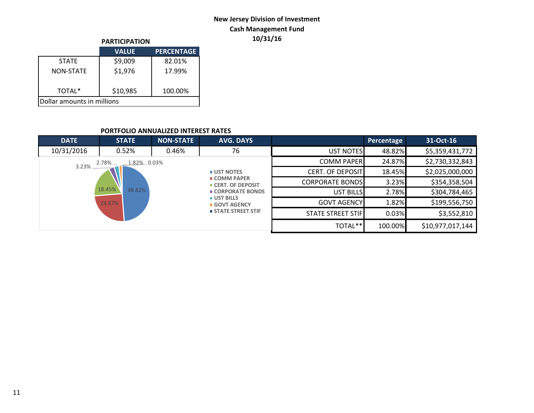## **New Jersey Division of Investment Cash Management Fund 10/31/16**

|                            | <b>PARTICIPATION</b> |                   |  |  |  |  |
|----------------------------|----------------------|-------------------|--|--|--|--|
|                            | <b>VALUE</b>         | <b>PERCENTAGE</b> |  |  |  |  |
| <b>STATF</b>               | \$9,009              | 82.01%            |  |  |  |  |
| <b>NON-STATE</b>           | \$1,976              | 17.99%            |  |  |  |  |
| TOTAL*                     | \$10,985             | 100.00%           |  |  |  |  |
| Dollar amounts in millions |                      |                   |  |  |  |  |

#### **PORTFOLIO ANNUALIZED INTEREST RATES**

| <b>DATE</b> | <b>STATE</b>         | <b>NON-STATE</b> | <b>AVG. DAYS</b>                                                                                                    |                         | Percentage | 31-Oct-16        |
|-------------|----------------------|------------------|---------------------------------------------------------------------------------------------------------------------|-------------------------|------------|------------------|
| 10/31/2016  | 0.52%                | 0.46%            | 76                                                                                                                  | <b>UST NOTES</b>        | 48.82%     | \$5,359,431,772  |
| 3.23%       | 1.82% 0.03%<br>2.78% |                  |                                                                                                                     | <b>COMM PAPER</b>       | 24.87%     | \$2,730,332,843  |
|             |                      |                  | <b>UST NOTES</b>                                                                                                    | <b>CERT. OF DEPOSIT</b> | 18.45%     | \$2,025,000,000  |
|             |                      |                  | $\blacksquare$ COMM PAPER<br><b>CERT. OF DEPOSIT</b><br>■ CORPORATE BONDS<br><b>UST BILLS</b><br><b>GOVT AGENCY</b> | <b>CORPORATE BONDS</b>  | 3.23%      | \$354,358,504    |
|             | 18.45%<br>48.82%     |                  |                                                                                                                     | <b>UST BILLS</b>        | 2.78%      | \$304,784,465    |
|             | 24.87%               |                  |                                                                                                                     | <b>GOVT AGENCY</b>      | 1.82%      | \$199,556,750    |
|             |                      |                  | <b>STATE STREET STIF</b>                                                                                            | STATE STREET STIF       | 0.03%      | \$3,552,810      |
|             |                      |                  |                                                                                                                     | TOTAL**                 | 100.00%    | \$10,977,017,144 |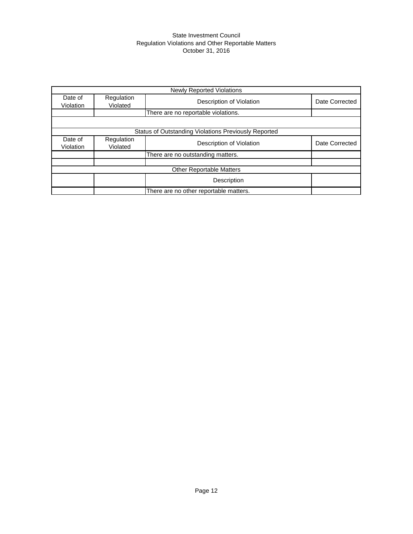#### State Investment Council Regulation Violations and Other Reportable Matters October 31, 2016

|                      |                                     | <b>Newly Reported Violations</b>                     |                |  |  |  |  |
|----------------------|-------------------------------------|------------------------------------------------------|----------------|--|--|--|--|
| Date of<br>Violation | Regulation<br>Violated              | Description of Violation                             | Date Corrected |  |  |  |  |
|                      | There are no reportable violations. |                                                      |                |  |  |  |  |
|                      |                                     |                                                      |                |  |  |  |  |
|                      |                                     | Status of Outstanding Violations Previously Reported |                |  |  |  |  |
| Date of<br>Violation | Regulation<br>Violated              | Description of Violation                             | Date Corrected |  |  |  |  |
|                      |                                     | There are no outstanding matters.                    |                |  |  |  |  |
|                      |                                     |                                                      |                |  |  |  |  |
|                      |                                     | <b>Other Reportable Matters</b>                      |                |  |  |  |  |
|                      |                                     | Description                                          |                |  |  |  |  |
|                      |                                     | There are no other reportable matters.               |                |  |  |  |  |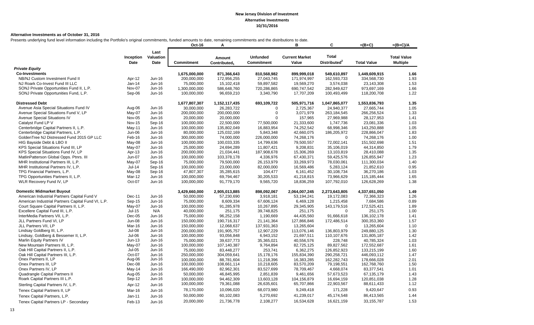#### **Alternative Investments as of October 31, 2016**

Presents underlying fund level information including the Portfolio's original commitments, funded amounts to date, remaining commitments and the distributions to date.

|                                                    |                   |                           | Oct-16            | Α                                  |                                      | в                              | C                                        | $=(B+C)$           | $=(B+C)/A$                            |
|----------------------------------------------------|-------------------|---------------------------|-------------------|------------------------------------|--------------------------------------|--------------------------------|------------------------------------------|--------------------|---------------------------------------|
|                                                    | Inception<br>Date | Last<br>Valuation<br>Date | <b>Commitment</b> | Amount<br>Contributed <sub>1</sub> | <b>Unfunded</b><br><b>Commitment</b> | <b>Current Market</b><br>Value | <b>Total</b><br>Distributed <sup>2</sup> | <b>Total Value</b> | <b>Total Value</b><br><b>Multiple</b> |
| <b>Private Equity</b>                              |                   |                           |                   |                                    |                                      |                                |                                          |                    |                                       |
| <b>Co-Investments</b>                              |                   |                           | 1,675,000,000     | 871,366,643                        | 810,568,982                          | 899,999,018                    | 549,610,897                              | 1,449,609,915      | 1.66                                  |
| NB/NJ Custom Investment Fund II                    | Apr-12            | Jun-16                    | 200,000,000       | 172,956,255                        | 27,043,745                           | 171,974,997                    | 162,593,733                              | 334,568,730        | 1.93                                  |
| NJ Roark Co-Invest Fund III LLC                    | Jan-14            | Jun-16                    | 75,000,000        | 15,102,418                         | 59,897,582                           | 19,569,270                     | 3,574,038                                | 23,143,308         | 1.53                                  |
| SONJ Private Opportunities Fund II, L.P.           | Nov-07            | Jun-16                    | 1,300,000,000     | 586,648,760                        | 720,286,865                          | 690,747,542                    | 282,949,627                              | 973,697,169        | 1.66                                  |
| SONJ Private Opportunities Fund, L.P.              | Sep-06            | Jun-16                    | 100,000,000       | 96,659,210                         | 3,340,790                            | 17,707,209                     | 100,493,499                              | 118,200,708        | 1.22                                  |
| <b>Distressed Debt</b>                             |                   |                           | 1,677,807,307     | 1,152,117,435                      | 693,109,722                          | 505,971,716                    | 1,047,865,077                            | 1,553,836,793      | 1.35                                  |
| Avenue Asia Special Situations Fund IV             | Aug-06            | Jun-16                    | 30,000,000        | 26,283,722                         | $\Omega$                             | 2,725,367                      | 24,940,377                               | 27,665,744         | 1.05                                  |
| Avenue Special Situations Fund V, LP               | May-07            | Jun-16                    | 200,000,000       | 200,000,000                        | $\Omega$                             | 3,071,979                      | 263,184,545                              | 266,256,524        | 1.33                                  |
| Avenue Special Situations IV                       | Nov-05            | Jun-16                    | 20,000,000        | 20,000,000                         | $\Omega$                             | 157,965                        | 27,969,988                               | 28,127,953         | 1.41                                  |
| Catalyst Fund LP V                                 | <b>Nov-15</b>     | Sep-16                    | 100,000,000       | 22,500,000                         | 77,500,000                           | 21,333,600                     | 1,747,736                                | 23,081,336         | 1.03                                  |
| Centerbridge Capital Partners II, L.P.             | May-11            | Jun-16                    | 100,000,000       | 135,802,049                        | 16,883,954                           | 74,252,542                     | 68,998,346                               | 143,250,888        | 1.05                                  |
| Centerbridge Capital Partners, L.P.                | Jun-06            | Jun-16                    | 80,000,000        | 125,032,169                        | 5,843,348                            | 42,660,075                     | 186,205,972                              | 228,866,047        | 1.83                                  |
| GoldenTree NJ Distressed Fund 2015 GP LLC          | Feb-16            | Jun-16                    | 300,000,000       | 74,000,000                         | 226,000,000                          | 74,268,176                     | $\Omega$                                 | 74,268,176         | 1.00                                  |
| HIG Bayside Debt & LBO II                          | May-08            | Jun-16                    | 100,000,000       | 100,033,335                        | 14,799,636                           | 79,500,557                     | 72,002,141                               | 151,502,698        | 1.51                                  |
| KPS Special Situations Fund III, LP                | May-07            | Jun-16                    | 25,000,000        | 24,694,289                         | 11,807,421                           | 9,208,831                      | 35,106,019                               | 44,314,850         | 1.79                                  |
| KPS Special Situations Fund IV, LP                 | Apr-13            | Jun-16                    | 200,000,000       | 21,034,441                         | 187,908,678                          | 15,306,269                     | 13,103,819                               | 28,410,088         | 1.35                                  |
| MatlinPatterson Global Opps. Ptnrs. III            | Jun-07            | Jun-16                    | 100,000,000       | 103,378,178                        | 4,336,976                            | 67,430,371                     | 59,425,576                               | 126,855,947        | 1.23                                  |
| MHR Institutional Partners III, L.P.               | May-07            | Sep-16                    | 75,000,000        | 79,500,000                         | 26,153,979                           | 33,269,973                     | 78,030,061                               | 111,300,034        | 1.40                                  |
| MHR Institutional Partners IV, L.P.                | $Jul-14$          | Sep-16                    | 100,000,000       | 23,000,000                         | 82,000,000                           | 16,569,486                     | 5,283,124                                | 21,852,610         | 0.95                                  |
| TPG Financial Partners, L.P.                       | May-08            | Sep-16                    | 47,807,307        | 35,285,615                         | 104,477                              | 6,161,452                      | 30,108,734                               | 36,270,186         | 1.03                                  |
| TPG Opportunities Partners II, L.P.                | Mar-12            | Jun-16                    | 100,000,000       | 69,794,467                         | 30,205,533                           | 41,218,815                     | 73,966,629                               | 115,185,444        | 1.65                                  |
| WLR Recovery Fund IV, LP                           | Oct-07            | Jun-16                    | 100,000,000       | 91,779,170                         | 9,565,720                            | 18,836,259                     | 107,792,010                              | 126,628,269        | 1.38                                  |
| <b>Domestic Midmarket Buyout</b>                   |                   |                           | 3,429,660,000     | 2,905,013,885                      | 898,092,067                          | 2,064,007,245                  | 2,273,643,805                            | 4,337,651,050      | 1.49                                  |
| American Industrial Partners Capital Fund V        | Dec-11            | Jun-16                    | 50,000,000        | 57,230,690                         | 3,918,181                            | 53,194,241                     | 19,172,083                               | 72,366,323         | 1.26                                  |
| American Industrial Partners Capital Fund VI, L.P. | Sep-15            | Jun-16                    | 75,000,000        | 8,609,334                          | 67,606,124                           | 6,469,128                      | 1,215,458                                | 7,684,586          | 0.89                                  |
| Court Square Capital Partners II, L.P.             | May-07            | Jun-16                    | 100,000,000       | 91,285,978                         | 10,267,895                           | 29,345,905                     | 143.179.516                              | 172,525,421        | 1.89                                  |
| Excellere Capital Fund III, L.P.                   | $Jul-15$          | N/A                       | 40,000,000        | 251,175                            | 39,748,825                           | 251,175                        | $\mathbf 0$                              | 251,175            | 1.00                                  |
| InterMedia Partners VII, L.P.                      | Dec-05            | Jun-16                    | 75,000,000        | 96,252,158                         | 1,190,669                            | 44,435,560                     | 91,666,618                               | 136, 102, 178      | 1.41                                  |
| JLL Partners Fund VI, LP                           | <b>Jun-08</b>     | Jun-16                    | 150,000,000       | 190,716,317                        | 21,141,364                           | 127,866,846                    | 172,486,514                              | 300,353,360        | 1.57                                  |
| JLL Partners VII, LP                               | Mar-16            | Jun-16                    | 150,000,000       | 12,068,637                         | 137,931,363                          | 13,265,604                     | $\mathbf 0$                              | 13,265,604         | 1.10                                  |
| Lindsay Goldberg III, L.P.                         | $Jul-08$          | Jun-16                    | 200,000,000       | 191,905,757                        | 12,907,229                           | 113,076,146                    | 136,803,979                              | 249,880,125        | 1.30                                  |
| Lindsay, Goldberg & Bessemer II, L.P.              | Jul-06            | Jun-16                    | 100,000,000       | 93,056,848                         | 6,943,152                            | 21,697,511                     | 110,107,676                              | 131,805,187        | 1.42                                  |
| Marlin Equity Partners IV                          | $Jun-13$          | Jun-16                    | 75,000,000        | 39,637,773                         | 35,365,021                           | 40,556,576                     | 228,748                                  | 40,785,324         | 1.03                                  |
| New Mountain Partners III, L.P.                    | May-07            | Jun-16                    | 100,000,000       | 107,140,387                        | 9,764,894                            | 82,725,125                     | 89,827,562                               | 172,552,687        | 1.61                                  |
| Oak Hill Capital Partners II, L.P.                 | $Jul-05$          | Jun-16                    | 75,000,000        | 83,448,277                         | 253,741                              | 6,362,275                      | 126,852,923                              | 133,215,199        | 1.60                                  |
| Oak Hill Capital Partners III, L.P.                | Oct-07            | Jun-16                    | 250,000,000       | 304,059,641                        | 15,178,176                           | 155,834,390                    | 290,258,721                              | 446,093,112        | 1.47                                  |
| Onex Partners II, LP                               | Aug-06            | Jun-16                    | 100,000,000       | 88,781,604                         | 11,218,396                           | 16,383,285                     | 162,282,743                              | 178,666,028        | 2.01                                  |
| Onex Partners III, LP                              | Dec-08            | Jun-16                    | 100,000,000       | 108,661,114                        | 10,218,605                           | 83,570,209                     | 79,198,551                               | 162,768,760        | 1.50                                  |
| Onex Partners IV, LP                               | $May-14$          | Jun-16                    | 166,490,000       | 82,962,301                         | 83,527,699                           | 78,709,467                     | 4,668,074                                | 83,377,541         | 1.01                                  |
| Quadrangle Capital Partners II                     | Aug-05            | Jun-16                    | 50,000,000        | 46,845,995                         | 2,851,839                            | 9,461,656                      | 57,673,523                               | 67,135,179         | 1.43                                  |
| Roark Capital Partners III L.P.                    | Sep-12            | Jun-16                    | 100,000,000       | 94,462,309                         | 13,603,128                           | 104,156,879                    | 16,694,159                               | 120,851,038        | 1.28                                  |
| Sterling Capital Partners IV, L.P.                 | Apr-12            | Jun-16                    | 100,000,000       | 79,361,088                         | 26,635,601                           | 65,707,866                     | 22,903,567                               | 88,611,433         | 1.12                                  |
| Tenex Capital Partners II, LP                      | Mar-16            | Jun-16                    | 78,170,000        | 10,096,020                         | 68,073,980                           | 9,249,418                      | 171,228                                  | 9,420,647          | 0.93                                  |
| Tenex Capital Partners, L.P.                       | Jan-11            | Jun-16                    | 50,000,000        | 60,102,083                         | 5,270,692                            | 41,239,017                     | 45,174,548                               | 86,413,565         | 1.44                                  |
|                                                    |                   |                           | 20,000,000        | 21,736,778                         | 2,108,277                            | 16,534,628                     | 16,621,159                               | 33, 155, 787       | 1.53                                  |
| Tenex Capital Partners LP - Secondary              | Feb-13            | Jun-16                    |                   |                                    |                                      |                                |                                          |                    |                                       |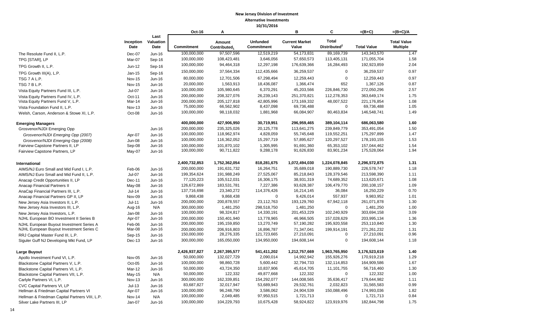|                                                                                      |                         |                           | Oct-16                     | Α                                  |                               | B                              | C                                        | $=(B+C)$                   | $=(B+C)/A$                            |
|--------------------------------------------------------------------------------------|-------------------------|---------------------------|----------------------------|------------------------------------|-------------------------------|--------------------------------|------------------------------------------|----------------------------|---------------------------------------|
|                                                                                      | Inception<br>Date       | Last<br>Valuation<br>Date | Commitment                 | Amount<br>Contributed <sub>1</sub> | <b>Unfunded</b><br>Commitment | <b>Current Market</b><br>Value | <b>Total</b><br>Distributed <sup>2</sup> | <b>Total Value</b>         | <b>Total Value</b><br><b>Multiple</b> |
| The Resolute Fund II, L.P.                                                           | Dec-07                  | Jun-16                    | 100,000,000                | 97,507,596                         | 12.519.219                    | 54,173,831                     | 89,169,739                               | 143,343,570                | 1.47                                  |
| TPG [STAR], LP                                                                       | Mar-07                  | Sep-16                    | 100,000,000                | 108,423,481                        | 3,646,056                     | 57.650.573                     | 113,405,131                              | 171,055,704                | 1.58                                  |
| TPG Growth II, L.P.                                                                  | Jun-12                  | Sep-16                    | 100,000,000                | 94,464,318                         | 12,297,198                    | 176,639,366                    | 16,284,493                               | 192,923,859                | 2.04                                  |
|                                                                                      |                         |                           | 150,000,000                | 37,564,334                         | 112,435,666                   | 36,259,537                     | $\Omega$                                 | 36,259,537                 | 0.97                                  |
| TPG Growth III(A), L.P.<br>TSG 7 A L.P.                                              | Jan-15<br><b>Nov-15</b> | Sep-16<br>Jun-16          | 80,000,000                 | 12,701,506                         | 67,298,494                    | 12,259,443                     | $\mathbf 0$                              | 12,259,443                 | 0.97                                  |
| TSG 7 B L.P.                                                                         | <b>Nov-15</b>           | Jun-16                    | 20,000,000                 | 1,563,913                          | 18,436,087                    | 1,366,474                      | 652                                      | 1,367,126                  | 0.87                                  |
|                                                                                      |                         |                           | 100,000,000                | 105,980,645                        | 6,370,291                     | 45,203,566                     | 226,846,730                              | 272,050,296                | 2.57                                  |
| Vista Equity Partners Fund III, L.P.                                                 | $Jul-07$                | Jun-16                    | 200,000,000                | 208, 327, 076                      | 26,239,143                    | 251,370,821                    | 112,278,353                              | 363,649,174                | 1.75                                  |
| Vista Equity Partners Fund IV, L.P.<br>Vista Equity Partners Fund V, L.P.            | Oct-11<br>Mar-14        | Jun-16<br>Jun-16          | 200,000,000                | 205, 127, 818                      | 42,805,996                    | 173, 169, 332                  | 48,007,522                               | 221,176,854                | 1.08                                  |
| Vista Foundation Fund II, L.P.                                                       | <b>Nov-13</b>           | Jun-16                    | 75,000,000                 | 66,562,902                         | 8,437,098                     | 69,736,488                     | $\mathbf 0$                              | 69,736,488                 | 1.05                                  |
| Welsh, Carson, Anderson & Stowe XI, L.P.                                             | Oct-08                  | Jun-16                    | 100,000,000                | 98,118,032                         | 1,881,968                     | 66,084,907                     | 80,463,834                               | 146,548,741                | 1.49                                  |
| <b>Emerging Managers</b>                                                             |                         |                           | 400,000,000                | 427,906,950                        | 30,719,951                    | 296,959,465                    | 389,104,114                              | 686,063,580                | 1.60                                  |
| Grosvenor/NJDI Emerging Opp                                                          |                         | Jun-16                    | 200,000,000                | 235,325,026                        | 20,125,778                    | 113,641,275                    | 239,849,779                              | 353,491,054                | 1.50                                  |
| Grosvenor/NJDI Emerging Opp (2007)                                                   | Apr-07                  | Jun-16                    | 100,000,000                | 118,962,974                        | 4,828,059                     | 55,745,648                     | 119,552,251                              | 175,297,899                | 1.47                                  |
| Grosvenor/NJDI Emerging Opp (2008)                                                   | <b>Jun-08</b>           | <b>Jun-16</b>             | 100,000,000                | 116,362,052                        | 15,297,719                    | 57,895,627                     | 120,297,527                              | 178,193,155                | 1.53                                  |
| Fairview Capstone Partners II, LP                                                    | Sep-08                  | Jun-16                    | 100,000,000                | 101,870,102                        | 1,305,995                     | 91,691,360                     | 65,353,102                               | 157,044,462                | 1.54                                  |
| Fairview Capstone Partners, LP                                                       | May-07                  | Jun-16                    | 100,000,000                | 90,711,822                         | 9,288,178                     | 91,626,830                     | 83,901,234                               | 175,528,064                | 1.94                                  |
| International                                                                        |                         |                           | 2,400,732,853              | 1,752,362,054                      | 818,281,675                   | 1,072,494,030                  | 1,224,078,845                            | 2,296,572,875              | 1.31                                  |
| AIMS/NJ Euro Small and Mid Fund I, L.P.                                              | Feb-06                  | Jun-16                    | 200,000,000                | 191,631,732                        | 16,264,751                    | 35,689,018                     | 190,889,730                              | 226,578,747                | 1.18                                  |
| AIMS/NJ Euro Small and Mid Fund II, L.P.                                             | Jul-07                  | Jun-16                    | 199,354,624                | 191,988,249                        | 27,525,067                    | 85,218,843                     | 128,379,546                              | 213,598,390                | 1.11                                  |
| Anacap Credit Opportunities II, LP                                                   | Dec-11                  | Jun-16                    | 77,120,223                 | 105,512,031                        | 16,306,175                    | 38,931,319                     | 74,689,352                               | 113,620,671                | 1.08                                  |
| Anacap Financial Partners II                                                         | May-08                  | Jun-16                    | 126,672,869                | 183,531,781                        | 7,227,386                     | 93,628,387                     | 106,479,770                              | 200, 108, 157              | 1.09                                  |
| AnaCap Financial Partners III, L.P.                                                  | $Jul-14$                | Jun-16                    | 137,716,698                | 23,340,272                         | 114,376,426                   | 16,214,145                     | 36,084                                   | 16,250,229                 | 0.70                                  |
| Anacap Financial Partners GP II, LP                                                  | Nov-09                  | Jun-16                    | 9,868,438                  | 9,868,438                          | $\mathbf 0$                   | 9,426,014                      | 557,937                                  | 9,983,952                  | 1.01                                  |
| New Jersey Asia Investors II, L.P.                                                   | $Jul-11$                | Jun-16                    | 200,000,000                | 200,878,557                        | 23,112,763                    | 193, 129, 760                  | 67,942,118                               | 261,071,878                | 1.30                                  |
| New Jersey Asia Investors III, L.P.                                                  | Aug-16                  | N/A                       | 300,000,000                | 1,481,250                          | 298,518,750                   | 1,481,250                      | $\mathbf 0$                              | 1,481,250                  | 1.00                                  |
| New Jersey Asia Investors, L.P.                                                      | Jan-08                  | Jun-16                    | 100,000,000                | 98,324,817<br>150,401,940          | 14,330,191<br>13,778,965      | 201,453,229<br>46,966,505      | 102,240,929<br>157,028,629               | 303,694,158<br>203,995,134 | 3.09<br>1.36                          |
| NJHL European BO Investment II Series B                                              | Apr-07                  | Jun-16                    | 200,000,000<br>200,000,000 | 195,159,850                        | 13,270,749                    | 57,190,282                     | 195,920,558                              | 253,110,840                | 1.30                                  |
| NJHL European Buyout Investment Series A<br>NJHL European Buyout Investment Series C | Feb-06<br>Mar-08        | Jun-16<br>Jun-16          | 200,000,000                | 206,916,803                        | 16,896,787                    | 71,347,041                     | 199,914,191                              | 271,261,232                | 1.31                                  |
| RRJ Capital Master Fund III, L.P.                                                    | Sep-15                  | Jun-16                    | 150,000,000                | 28,276,335                         | 121,723,665                   | 27,210,091                     | $\mathbf 0$                              | 27,210,091                 | 0.96                                  |
| Siguler Guff NJ Developing Mkt Fund, LP                                              | Dec-13                  | Jun-16                    | 300,000,000                | 165,050,000                        | 134,950,000                   | 194,608,144                    | $\mathbf 0$                              | 194,608,144                | 1.18                                  |
| Large Buyout                                                                         |                         |                           | 2,426,937,827              | 2,267,395,577                      | 541,411,202                   | 1,212,757,669                  | 1,963,765,950                            | 3,176,523,619              | 1.40                                  |
| Apollo Investment Fund VI, L.P.                                                      | Nov-05                  | Jun-16                    | 50,000,000                 | 132,027,729                        | 2,090,014                     | 14,992,942                     | 155,926,276                              | 170,919,218                | 1.29                                  |
| Blackstone Capital Partners V, L.P.                                                  | Oct-05                  | Jun-16                    | 100,000,000                | 98,860,728                         | 5,600,442                     | 32,794,733                     | 132,114,853                              | 164,909,586                | 1.67                                  |
| Blackstone Capital Partners VI, L.P.                                                 | Mar-12                  | Jun-16                    | 50,000,000                 | 43,724,350                         | 10,837,906                    | 45,614,705                     | 11.101.755                               | 56,716,460                 | 1.30                                  |
| Blackstone Capital Partners VII, L.P.                                                | $May-15$                | N/A                       | 50,000,000                 | 122,332                            | 49,877,668                    | 122,332                        | $\mathbf 0$                              | 122,332                    | 1.00                                  |
| Carlyle Partners VI, L.P.                                                            | <b>Nov-13</b>           | Jun-16                    | 300,000,000                | 162,339,851                        | 154,292,077                   | 144,008,565                    | 35,636,417                               | 179,644,982                | 1.11                                  |
| CVC Capital Partners VI, LP                                                          | $Jul-13$                | Jun-16                    | 83,687,827                 | 32,017,947                         | 53,689,943                    | 29,532,761                     | 2,032,823                                | 31,565,583                 | 0.99                                  |
| Hellman & Friedman Capital Partners VI                                               | Apr-07                  | Jun-16                    | 100,000,000                | 96,248,790                         | 3,586,062                     | 24,904,539                     | 150.088.496                              | 174,993,036                | 1.82                                  |
| Hellman & Friedman Capital Partners VIII, L.P.                                       | Nov-14                  | N/A                       | 100,000,000                | 2,049,485                          | 97,950,515                    | 1,721,713                      | $\mathbf 0$                              | 1,721,713                  | 0.84                                  |
| Silver Lake Partners III, LP                                                         | Jan-07                  | Jun-16                    | 100,000,000                | 104,229,793                        | 10,675,428                    | 58,924,822                     | 123,919,976                              | 182,844,798                | 1.75                                  |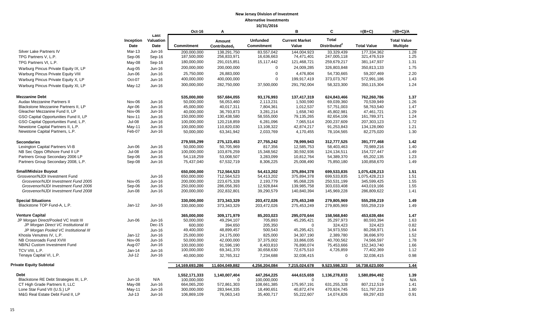|                                         |                   |                           | Oct-16            | A                                  |                                      | B                              | C                                        | $=(B+C)$           | $=(B+C)/A$                            |
|-----------------------------------------|-------------------|---------------------------|-------------------|------------------------------------|--------------------------------------|--------------------------------|------------------------------------------|--------------------|---------------------------------------|
|                                         | Inception<br>Date | Last<br>Valuation<br>Date | <b>Commitment</b> | Amount<br>Contributed <sub>1</sub> | <b>Unfunded</b><br><b>Commitment</b> | <b>Current Market</b><br>Value | <b>Total</b><br>Distributed <sup>2</sup> | <b>Total Value</b> | <b>Total Value</b><br><b>Multiple</b> |
| Silver Lake Partners IV                 | <b>Mar-13</b>     | Jun-16                    | 200,000,000       | 138,291,750                        | 83,557,042                           | 144,004,923                    | 33,329,439                               | 177,334,362        | 1.28                                  |
| TPG Partners V, L.P.                    | Sep-06            | Sep-16                    | 187,500,000       | 256,833,971                        | 16,636,663                           | 74,471,401                     | 247,005,118                              | 321,476,519        | 1.25                                  |
| TPG Partners VI, L.P.                   | May-08            | Sep-16                    | 180,000,000       | 291,015,851                        | 15,117,442                           | 121,468,721                    | 259,679,217                              | 381,147,937        | 1.31                                  |
| Warburg Pincus Private Equity IX, LP    | Aug-05            | Jun-16                    | 200,000,000       | 200,000,000                        | $\mathbf 0$                          | 24,009,285                     | 326,803,848                              | 350,813,133        | 1.75                                  |
| Warburg Pincus Private Equity VIII      | Jun-06            | Jun-16                    | 25,750,000        | 26,883,000                         | $\mathbf 0$                          | 4,476,804                      | 54,730,665                               | 59,207,469         | 2.20                                  |
| Warburg Pincus Private Equity X, LP     | Oct-07            | $Jun-16$                  | 400,000,000       | 400,000,000                        | $\Omega$                             | 199,917,419                    | 373,073,767                              | 572,991,186        | 1.43                                  |
|                                         |                   |                           | 300,000,000       | 282,750,000                        | 37,500,000                           | 291,792,004                    | 58,323,300                               | 350,115,304        | 1.24                                  |
| Warburg Pincus Private Equity XI, LP    | <b>May-12</b>     | Jun-16                    |                   |                                    |                                      |                                |                                          |                    |                                       |
| <b>Mezzanine Debt</b>                   |                   |                           | 535,000,000       | 557,684,055                        | 93,176,993                           | 137,417,319                    | 624,843,466                              | 762,260,786        | 1.37                                  |
| Audax Mezzanine Partners II             | Nov-06            | Jun-16                    | 50,000,000        | 56,053,460                         | 2,113,231                            | 1,500,590                      | 69,039,360                               | 70,539,949         | 1.26                                  |
| Blackstone Mezzanine Partners II, LP    | Apr-06            | Jun-16                    | 45,000,000        | 40,017,311                         | 7,804,361                            | 1,012,537                      | 57,751,003                               | 58,763,540         | 1.47                                  |
| Gleacher Mezzanine Fund II, LP          | Nov-06            | Jun-16                    | 40,000,000        | 36,793,873                         | 3,281,214                            | 1,658,740                      | 45,802,981                               | 47,461,721         | 1.29                                  |
| GSO Capital Opportunities Fund II, LP   | <b>Nov-11</b>     | Jun-16                    | 150,000,000       | 130,438,580                        | 58,555,000                           | 79,135,265                     | 82,654,106                               | 161,789,371        | 1.24                                  |
| GSO Capital Opportunities Fund, L.P.    | Jul-08            | Jun-16                    | 100,000,000       | 120,218,859                        | 6,281,096                            | 7,065,514                      | 200,237,609                              | 207,303,123        | 1.72                                  |
| Newstone Capital Partners II, L.P.      | May-11            | Jun-16                    | 100,000,000       | 110,820,030                        | 13,108,322                           | 42,874,217                     | 91,253,843                               | 134,128,060        | 1.21                                  |
| Newstone Capital Partners, L.P.         | Feb-07            | Jun-16                    | 50,000,000        | 63,341,942                         | 2,033,769                            | 4,170,455                      | 78,104,565                               | 82,275,020         | 1.30                                  |
| <b>Secondaries</b>                      |                   |                           | 279,555,299       | 275,123,453                        | 27,755,242                           | 78,999,943                     | 312,777,525                              | 391,777,468        | 1.42                                  |
| Lexington Capital Partners VI-B         | <b>Jun-06</b>     | Jun-16                    | 50,000,000        | 50,705,969                         | 817,356                              | 12,585,753                     | 58,403,463                               | 70,989,216         | 1.40                                  |
| NB Sec Opps Offshore Fund II LP         | <b>Jul-08</b>     | Jun-16                    | 100,000,000       | 103,876,259                        | 15,348,562                           | 30,592,936                     | 124,134,511                              | 154,727,447        | 1.49                                  |
| Partners Group Secondary 2006 LP        | Sep-06            | Jun-16                    | 54,118,259        | 53,008,507                         | 3,283,099                            | 10,812,764                     | 54,389,370                               | 65,202,135         | 1.23                                  |
| Partners Group Secondary 2008, L.P.     | Sep-08            | Jun-16                    | 75,437,040        | 67,532,719                         | 8,306,225                            | 25,008,490                     | 75,850,180                               | 100,858,670        | 1.49                                  |
| <b>Small/Midsize Buyout</b>             |                   |                           | 650,000,000       | 712,564,523                        | 54,413,202                           | 375,894,378                    | 699,533,835                              | 1,075,428,213      | 1.51                                  |
| Grosvenor/NJDI Investment Fund          |                   | Jun-16                    | 650,000,000       | 712,564,523                        | 54,413,202                           | 375,894,378                    | 699,533,835                              | 1,075,428,213      | 1.51                                  |
| Grosvenor/NJDI Investment Fund 2005     | <b>Nov-05</b>     | Jun-16                    | 200,000,000       | 223,675,328                        | 2,193,779                            | 95,068,226                     | 250,531,199                              | 345,599,425        | 1.55                                  |
| Grosvenor/NJDI Investment Fund 2006     | Sep-06            | Jun-16                    | 250,000,000       | 286,056,393                        | 12,928,844                           | 139,985,758                    | 303,033,408                              | 443,019,166        | 1.55                                  |
| Grosvenor/NJDI Investment Fund 2008     | <b>Jun-08</b>     | Jun-16                    | 200,000,000       | 202,832,801                        | 39,290,579                           | 140,840,394                    | 145,969,228                              | 286,809,622        | 1.41                                  |
| <b>Special Situations</b>               |                   |                           | 330,000,000       | 373,343,329                        | 203,472,026                          | 275,453,249                    | 279,805,969                              | 555,259,219        | 1.49                                  |
| Blackstone TOP Fund-A, L.P.             | $Jan-12$          | Jun-16                    | 330,000,000       | 373,343,329                        | 203,472,026                          | 275,453,249                    | 279,805,969                              | 555,259,219        | 1.49                                  |
| <b>Venture Capital</b>                  |                   |                           | 365.000.000       | 309,171,979                        | 85,203,023                           | 295,070,644                    | 158,568,840                              | 453,639,484        | 1.47                                  |
| JP Morgan Direct/Pooled VC Instit III   | Jun-06            | Jun-16                    | 50,000,000        | 49,294,107                         | 705,893                              | 45,295,421                     | 35,297,973                               | 80,593,394         | 1.63                                  |
| JP Morgan Direct VC Institutional III   |                   | Dec-15                    | 600,000           | 394,650                            | 205,350                              | $\mathbf 0$                    | 324,423                                  | 324,423            | 0.82                                  |
| JP Morgan Pooled VC Institutional III   |                   | Jun-16                    | 49,400,000        | 48,899,457                         | 500,543                              | 45,295,421                     | 34,973,550                               | 80,268,971         | 1.64                                  |
| Khosla Venutres IV, L.P.                | $Jan-12$          | Jun-16                    | 25,000,000        | 24,175,000                         | 825,000                              | 34,307,190                     | 2,389,780                                | 36,696,970         | 1.52                                  |
| NB Crossroads Fund XVIII                | Nov-06            | Jun-16                    | 50,000,000        | 42,000,000                         | 37,375,002                           | 33,866,035                     | 40,700,562                               | 74,566,597         | 1.78                                  |
| NB/NJ Custom Investment Fund            | Aug-07            | Jun-16                    | 100,000,000       | 91,596,190                         | 8,403,810                            | 76,890,074                     | 75,453,666                               | 152,343,740        | 1.66                                  |
| TCV VIII. L.P.                          | $Jan-14$          | $Jun-16$                  | 100,000,000       | 69,341,370                         | 30,658,630                           | 72,675,510                     | 4,726,859                                | 77,402,369         | 1.12                                  |
| Tenaya Capital VI, L.P.                 | Jul-12            | Jun-16                    | 40,000,000        | 32,765,312                         | 7,234,688                            | 32,036,415                     | $\mathbf 0$                              | 32,036,415         | 0.98                                  |
| Private Equity Subtotal                 |                   |                           | 14,169,693,286    | 11,604,049,882                     | 4,256,204,084                        | 7,215,024,678                  | 9,523,598,323                            | 16,738,623,000     | $1.44$                                |
| <b>Debt</b>                             |                   |                           | 1,552,171,333     | 1,140,007,404                      | 447,264,225                          | 444,615,659                    | 1,136,278,833                            | 1,580,894,492      | 1.39                                  |
| Blackstone RE Debt Strategies III, L.P. | Jun-16            | N/A                       | 100,000,000       | $\mathbf 0$                        | 100,000,000                          | $\overline{0}$                 | $\mathbf 0$                              | $\Omega$           | N/A                                   |
| CT High Grade Partners II, LLC          | May-08            | Jun-16                    | 664,065,200       | 572,861,303                        | 108,661,385                          | 175,957,191                    | 631,255,328                              | 807,212,519        | 1.41                                  |
| Lone Star Fund VII (U.S.) LP            | May-11            | Jun-16                    | 300,000,000       | 283,944,335                        | 18,490,651                           | 40,872,474                     | 470,924,745                              | 511,797,219        | 1.80                                  |
| M&G Real Estate Debt Fund II, LP        | $Jul-13$          | Jun-16                    | 106,869,109       | 76,063,143                         | 35,400,717                           | 55,222,607                     | 14,074,826                               | 69,297,433         | 0.91                                  |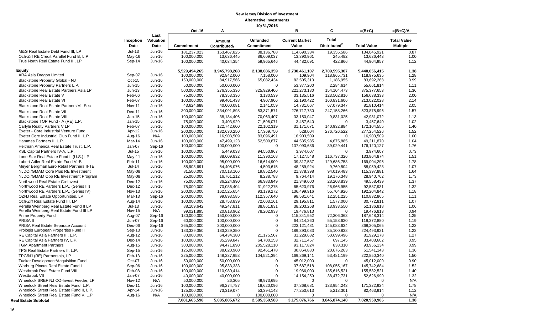|                                                                    |                   |                   | Oct-16                     | Α                                  |                                      | B                              | C                        | $=(B+C)$                 | $=(B+C)/A$                            |
|--------------------------------------------------------------------|-------------------|-------------------|----------------------------|------------------------------------|--------------------------------------|--------------------------------|--------------------------|--------------------------|---------------------------------------|
|                                                                    |                   | Last              |                            |                                    |                                      |                                | <b>Total</b>             |                          |                                       |
|                                                                    | Inception<br>Date | Valuation<br>Date | <b>Commitment</b>          | Amount<br>Contributed <sub>1</sub> | <b>Unfunded</b><br><b>Commitment</b> | <b>Current Market</b><br>Value | Distributed <sup>2</sup> | <b>Total Value</b>       | <b>Total Value</b><br><b>Multiple</b> |
| M&G Real Estate Debt Fund III, LP                                  | $Jul-13$          | Jun-16            | 181,237,023                | 153,467,825                        | 38,136,788                           | 114,690,334                    | 19,355,586               | 134,045,921              | 0.87                                  |
| Och-Ziff RE Credit Parallel Fund B, L.P                            | $May-16$          | Jun-16            | 100,000,000                | 13,636,445                         | 86,609,037                           | 13,390,961                     | 245,482                  | 13,636,443               | 1.00                                  |
| True North Real Estate Fund III, LP                                | Sep-14            | Jun-16            | 100.000.000                | 40.034.354                         | 59.965.646                           | 44,482,091                     | 422.866                  | 44,904,957               | 1.12                                  |
|                                                                    |                   |                   |                            |                                    |                                      |                                |                          |                          |                                       |
| <b>Equity</b>                                                      |                   |                   | 5,529,494,265              | 3,945,798,268                      | 2,138,086,359                        | 2,730,461,107                  | 2,709,595,307            | 5,440,056,415            | 1.38                                  |
| ARA Asia Dragon Limited                                            | Sep-07            | Jun-16            | 100,000,000                | 92,842,000                         | 7,158,000                            | 109,904                        | 118,865,731              | 118,975,635              | 1.28                                  |
| Blackstone Property Global - NJ                                    | Oct-15            | Jun-16            | 150,000,000                | 84,917,566                         | 65,082,434                           | 82,505,313                     | 1,186,955                | 83,692,268               | 0.99                                  |
| Blackstone Property Partners L.P.                                  | Jun-15            | Jun-16            | 50,000,000                 | 50,000,000                         | $\Omega$                             | 53,377,200                     | 2,284,614                | 55,661,814               | 1.11                                  |
| Blackstone Real Estate Partners Asia LP                            | $Jun-13$          | Jun-16            | 500,000,000                | 276,355,336                        | 325,929,406                          | 221,273,180                    | 154,104,473              | 375, 377, 653            | 1.36                                  |
| Blackstone Real Estate V                                           | Feb-06            | Jun-16            | 75,000,000                 | 78,353,336                         | 3,130,539                            | 33,135,516                     | 123,502,816              | 156,638,333              | 2.00                                  |
| <b>Blackstone Real Estate VI</b>                                   | Feb-07            | Jun-16            | 100,000,000                | 99,401,438                         | 4,907,906                            | 52,190,422                     | 160,831,606              | 213,022,028              | 2.14                                  |
| Blackstone Real Estate Partners VI, Sec                            | <b>Nov-11</b>     | Jun-16            | 43,624,688                 | 40,000,081                         | 2,141,059                            | 14,731,067                     | 67,079,347               | 81,810,414               | 2.05                                  |
| <b>Blackstone Real Estate VII</b>                                  | Dec-11            | Jun-16            | 300,000,000                | 334,091,898                        | 53,371,571                           | 276,717,730                    | 247,158,266              | 523,875,996              | 1.57                                  |
| <b>Blackstone Real Estate VIII</b>                                 | Jan-15            | Jun-16            | 100,000,000                | 38,184,406                         | 70,063,407                           | 33,150,047                     | 9,831,025                | 42,981,072               | 1.13                                  |
| Blackstone TOP Fund - A (RE) L.P.                                  | Jan-15            | Jun-16            | 75,000,000                 | 3,403,929                          | 71,596,071                           | 3,457,640                      | $\Omega$                 | 3,457,640                | 1.02                                  |
| Carlyle Realty Partners V LP                                       | Feb-07            | Jun-16            | 100,000,000                | 122,742,600                        | 22,102,319                           | 31,171,671                     | 140,932,884              | 172,104,555              | 1.40                                  |
| Exeter - Core Industrial Venture Fund                              | Apr-12            | Jun-16            | 200,000,000                | 182,630,250                        | 17,369,750                           | 528,004                        | 276,726,522              | 277,254,526              | 1.52                                  |
| Exeter Core Industrial Club Fund II, L.P.                          | Aug-16            | N/A               | 100,000,000                | 16,903,509                         | 83,096,491                           | 16,903,509                     | 0                        | 16,903,509               | 1.00                                  |
| Hammes Partners II, L.P.                                           | Mar-14            | Jun-16            | 100,000,000                | 47,499,123                         | 52,500,877                           | 44,535,985                     | 4,675,885                | 49,211,870               | 1.04                                  |
| Heitman America Real Estate Trust, L.P.                            | Jan-07            | Sep-16            | 100,000,000                | 100,000,000                        | $\mathbf 0$                          | 137,090,686                    | 39,029,441               | 176,120,127              | 1.76                                  |
| KSL Capital Partners IV-A, L.P.                                    | Jul-15            | Jun-16            | 100,000,000                | 5,449,033                          | 94,550,967                           | 3,974,607                      | $\Omega$                 | 3,974,607                | 0.73                                  |
| Lone Star Real Estate Fund II (U.S.) LP                            | May-11            | Jun-16            | 100,000,000                | 88,609,832                         | 11,390,168                           | 17,127,548                     | 116,737,326              | 133,864,874              | 1.51                                  |
| Lubert Adler Real Estate Fund VI-B                                 | Feb-11            | Jun-16            | 100,000,000                | 95,000,000                         | 16,614,909                           | 39,317,537                     | 129,686,758              | 169,004,295              | 1.78                                  |
| Meyer Bergman Euro Retail Partners II-TE                           | $Jul-14$          | Jun-16            | 58,908,691                 | 54,405,076                         | 4,503,615                            | 48,289,924                     | 9,769,504                | 58,059,428               | 1.07                                  |
| NJDOI/GMAM Core Plus RE Investment                                 | May-08            | Jun-16            | 81,500,000                 | 70,518,106                         | 19,852,540                           | 21,378,398                     | 94,019,483               | 115,397,881              | 1.64                                  |
| NJDOI/GMAM Opp RE Investment Program                               | May-08            | Jun-16            | 25,000,000                 | 16,761,212                         | 8,238,788                            | 9,764,414                      | 19,176,348               | 28,940,762               | 1.73                                  |
| Northwood Real Estate Co-Invest                                    | $Dec-12$          | Jun-16            | 75,000,000                 | 36,224,990                         | 66,983,849                           | 21,349,600                     | 28,208,839               | 49,558,439               | 1.37                                  |
| Northwood RE Partners L.P., (Series III)                           | $Dec-12$          | Jun-16            | 75,000,000                 | 70,036,404                         | 31,922,275                           | 65,620,976                     | 26,966,955               | 92,587,931               | 1.32                                  |
| Northwood RE Partners L.P., (Series IV)                            | <b>Nov-13</b>     | Jun-16            | 200,000,000                | 162,525,654                        | 93,179,272                           | 136,499,916                    | 55,704,926               | 192,204,842              | 1.18                                  |
| OZNJ Real Estate Opportunities, LP                                 | Mar-13            | Sep-16            | 200,000,000                | 99,893,585                         | 112,357,640                          | 98,581,641                     | 12,251,225               | 110,832,865              | 1.11                                  |
| Och-Ziff Real Estate Fund III, LP                                  | Aug-14            | Jun-16            | 100,000,000                | 28,753,839                         | 72,603,161                           | 29,195,811                     | 1,577,000                | 30,772,811               | 1.07                                  |
| Perella Weinberg Real Estate Fund II LP                            | $Jul-13$          | Jun-16            | 88,109,642                 | 49,247,811                         | 38,861,831                           | 38,203,268                     | 13,933,550               | 52,136,818               | 1.06                                  |
| Perella Weinberg Real Estate Fund III LP                           | <b>Nov-15</b>     | N/A               | 99.021.895                 | 20.818.962                         | 78,202,933                           | 19.476.813                     | $\Omega$                 | 19.476.813               | 0.94                                  |
| <b>Prime Property Fund</b>                                         | Aug-07            | Sep-16            | 130,000,000                | 150,000,000                        | $\Omega$                             | 115,341,952                    | 72,306,363               | 187,648,314              | 1.25                                  |
| PRISA II                                                           | Jun-07            | Sep-16            | 60,000,000                 | 100,000,000                        | $\mathbf 0$                          | 64,214,260                     | 55,158,620               | 119,372,880              | 1.19                                  |
| PRISA Real Estate Separate Account                                 | Dec-06            | Sep-16            | 265,000,000                | 300,000,000                        | $\mathbf 0$<br>$\Omega$              | 223, 121, 431                  | 145,083,634              | 368,205,065              | 1.23                                  |
| Prologis European Properties Fund II                               | Sep-13            | Jun-16            | 183,329,350                | 183,329,350                        |                                      | 189,393,083                    | 35,100,838               | 224,493,921              | 1.22                                  |
| RE Capital Asia Partners III, L.P.                                 | Aug-12            | Jun-16            | 80,000,000                 | 64,434,380                         | 21,175,507                           | 31,229,682                     | 50,699,496<br>697,145    | 81,929,178               | 1.27                                  |
| RE Capital Asia Partners IV, L.P.<br><b>TGM Apartment Partners</b> | Dec-14<br>Aug-15  | Jun-16<br>Jun-16  | 100,000,000<br>300,000,000 | 35,299,847<br>94,471,890           | 64,700,153<br>205,528,110            | 32,711,457<br>93,117,824       | 838,310                  | 33,408,602<br>93,956,134 | 0.95<br>0.99                          |
|                                                                    |                   |                   | 125,000,000                | 38,020,960                         | 92,461,478                           | 30,864,880                     | 20,676,263               | 51,541,143               | 1.36                                  |
| TPG Real Estate Partners II, L.P.                                  | Sep-15            | Jun-16            | 225,000,000                |                                    | 104,521,394                          | 169,369,141                    | 53,481,199               | 222,850,340              | 1.50                                  |
| TPG/NJ (RE) Partnership, LP                                        | Feb-13            | Jun-16            |                            | 148,237,953                        |                                      |                                |                          |                          |                                       |
| Tucker Development/Acquisition Fund                                | Oct-07            | Jun-16            | 50,000,000                 | 50,000,000                         | $\Omega$                             | 45,012,000                     | $\overline{0}$           | 45,012,000               | 0.90                                  |
| Warburg Pincus Real Estate Fund I                                  | Sep-06            | Jun-16            | 100,000,000                | 95,833,333                         | $\mathbf 0$<br>$\Omega$              | 37,687,518                     | 108,055,167              | 145,742,684              | 1.52                                  |
| Westbrook Real Estate Fund VIII<br>Westbrook VII                   | Feb-08<br>Jan-07  | Jun-16<br>Jun-16  | 100,000,000                | 110,980,414                        | $\Omega$                             | 19,966,000                     | 135,616,521              | 155,582,521              | 1.40                                  |
| Wheelock SREF NJ CO-Invest Feeder, LP                              | <b>Nov-12</b>     | N/A               | 40,000,000<br>50,000,000   | 40,000,000<br>26,305               | 49,973,695                           | 14, 154, 259<br>$\Omega$       | 38,472,731<br>$\Omega$   | 52,626,990<br>$\Omega$   | 1.32<br>N/A                           |
| Wheelock Street Real Estate Fund, L.P.                             | Dec-11            | Jun-16            | 100,000,000                | 96,274,787                         | 18,620,096                           | 37,368,681                     | 133,954,243              | 171,322,924              | 1.78                                  |
| Wheelock Street Real Estate Fund II, L.P.                          | Apr-14            | Jun-16            | 125,000,000                | 73,319,074                         | 53,394,148                           | 77,250,613                     | 5,213,301                | 82,463,914               | 1.12                                  |
| Wheelock Street Real Estate Fund V, L.P                            | Aug-16            | N/A               | 100,000,000                | $\Omega$                           | 100,000,000                          | $\Omega$                       | $\mathbf 0$              | 0                        | N/A                                   |
| <b>Real Estate Subtotal</b>                                        |                   |                   | 7,081,665,598              | 5,085,805,672                      | 2,585,350,583                        | 3,175,076,766                  | 3,845,874,140            | 7,020,950,906            | 1.38                                  |
|                                                                    |                   |                   |                            |                                    |                                      |                                |                          |                          |                                       |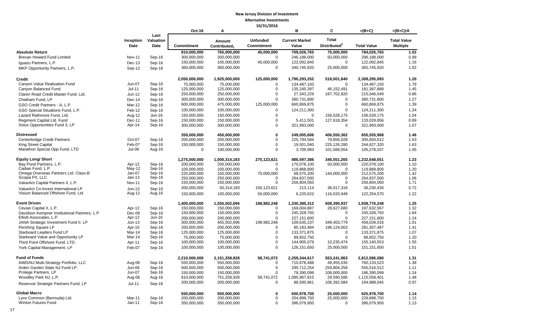|                                                                           |                    |                           | <b>Oct-16</b>              | A                                  |                                      | в                              | C                                        | $=(B+C)$                     | $=(B+C)/A$                            |
|---------------------------------------------------------------------------|--------------------|---------------------------|----------------------------|------------------------------------|--------------------------------------|--------------------------------|------------------------------------------|------------------------------|---------------------------------------|
|                                                                           | Inception<br>Date  | Last<br>Valuation<br>Date | <b>Commitment</b>          | Amount<br>Contributed <sub>1</sub> | <b>Unfunded</b><br><b>Commitment</b> | <b>Current Market</b><br>Value | <b>Total</b><br>Distributed <sup>2</sup> | <b>Total Value</b>           | <b>Total Value</b><br><b>Multiple</b> |
| <b>Absolute Return</b>                                                    |                    |                           | 810,000,000                | 765,000,000                        | 45,000,000                           | 709,026,765                    | 75,000,000                               | 784,026,765                  | 1.02                                  |
| Brevan Howard Fund Limited                                                | <b>Nov-11</b>      | Sep-16                    | 300,000,000                | 300,000,000                        | $\Omega$                             | 246,188,000                    | 50,000,000                               | 296,188,000                  | 0.99                                  |
| Iguazu Partners, L.P.                                                     | Dec-13             | Sep-16                    | 150,000,000                | 105,000,000                        | 45,000,000                           | 122,092,845                    | $\mathbf 0$                              | 122,092,845                  | 1.16                                  |
| MKP Opportunity Partners, L.P.                                            | Sep-12             | Sep-16                    | 360,000,000                | 360,000,000                        | $\Omega$                             | 340,745,920                    | 25,000,000                               | 365,745,920                  | 1.02                                  |
| <b>Credit</b>                                                             |                    |                           | 2,050,000,000              | 1,925,000,000                      | 125,000,000                          | 1,790,293,252                  | 518,001,840                              | 2,308,295,093                | 1.20                                  |
| Canyon Value Realization Fund                                             | Jun-07             | Sep-16                    | 75,000,000                 | 75,000,000                         | $\Omega$                             | 134,487,150                    | $\mathbf 0$                              | 134,487,150                  | 1.79                                  |
| Canyon Balanced Fund                                                      | Jul-11             | Sep-16                    | 125,000,000                | 125,000,000                        | 0                                    | 135,245,397                    | 46,152,491                               | 181,397,888                  | 1.45                                  |
| Claren Road Credit Master Fund, Ltd.                                      | Jun-12             | Sep-16                    | 250,000,000                | 250,000,000                        | $\mathbf 0$                          | 27,343,229                     | 187,702,820                              | 215,046,049                  | 0.86                                  |
| Chatham Fund, LP                                                          | Dec-14             | Sep-16                    | 300,000,000                | 300,000,000                        | $\Omega$                             | 380.731.800                    | $\mathbf 0$                              | 380,731,800                  | 1.27                                  |
| GSO Credit Partners - A, L.P.                                             | Mar-12             | Sep-16                    | 600,000,000                | 475,000,000                        | 125,000,000                          | 660,869,875                    | $\mathbf 0$                              | 660,869,875                  | 1.39                                  |
| GSO Special Situations Fund, L.P.                                         | Feb-12             | Sep-16                    | 100,000,000                | 100,000,000                        | $\mathbf 0$                          | 124,211,300                    | $\mathbf 0$                              | 124,211,300                  | 1.24                                  |
| Lazard Rathmore Fund, Ltd.                                                | Aug-12             | Jun-16                    | 150,000,000                | 150,000,000                        | $\Omega$                             | 0                              | 156,528,175                              | 156,528,175                  | 1.04                                  |
| Regiment Capital Ltd. Fund                                                | Dec-11             | Sep-16                    | 150,000,000                | 150,000,000                        | $\mathbf 0$                          | 5,411,501                      | 127,618,354                              | 133,029,856                  | 0.89                                  |
| Solus Opportunities Fund 3, LP                                            | Apr-14             | Sep-16                    | 300,000,000                | 300,000,000                        | 0                                    | 321,993,000                    | $\mathbf 0$                              | 321,993,000                  | 1.07                                  |
| <b>Distressed</b>                                                         |                    |                           | 350,000,000                | 450.000.000                        | 0                                    | 249,005,606                    | 406,550,362                              | 655.555.968                  | 1.46                                  |
| Centerbridge Credit Partners                                              | Oct-07             | Sep-16                    | 200.000.000                | 200,000,000                        | 0                                    | 225,794,584                    | 79,856,028                               | 305,650,612                  | 1.53                                  |
| King Street Capital                                                       | Feb-07             | Sep-16                    | 150,000,000                | 150,000,000                        | 0                                    | 19,501,040                     | 225,126,280                              | 244,627,320                  | 1.63                                  |
| Marathon Special Opp Fund, LTD                                            | Jul-08             | Aug-16                    | $\mathbf 0$                | 100,000,000                        | $\Omega$                             | 3,709,983                      | 101,568,054                              | 105,278,037                  | 1.05                                  |
| <b>Equity Long/ Short</b>                                                 |                    |                           | 1,275,000,000              | 1,000,314,183                      | 275,123,621                          | 886,597,386                    | 346,051,265                              | 1,232,648,651                | 1.23                                  |
| Bay Pond Partners, L.P.                                                   | Apr-12             | Sep-16                    | 200,000,000                | 200,000,000                        | 0                                    | 170,078,100                    | 50,000,000                               | 220,078,100                  | 1.10                                  |
| Cadian Fund, L.P.                                                         | $May-12$           | Sep-16                    | 100.000.000                | 100,000,000                        | $\Omega$                             | 119,868,800                    | $\Omega$                                 | 119,868,800                  | 1.20                                  |
| Omega Overseas Partners Ltd. Class-B<br>Scopia PX, LLC                    | Jan-07<br>$Jan-13$ | Sep-16<br>Sep-16          | 225,000,000                | 150,000,000                        | 75,000,000                           | 68,575,200                     | 144,000,000                              | 212,575,200                  | 1.42                                  |
| ValueAct Capital Partners II, L.P.                                        | <b>Nov-11</b>      | Sep-16                    | 250,000,000<br>150,000,000 | 250,000,000<br>150,000,000         | $\Omega$<br>$\Omega$                 | 264,837,500<br>256,804,050     | 0<br>$\mathbf 0$                         | 264,837,500<br>256,804,050   | 1.06<br>1.71                          |
|                                                                           |                    |                           | 200,000,000                | 50,314,183                         | 150,123,621                          | 213,114                        | 36,017,316                               | 36,230,430                   | 0.72                                  |
| ValueAct Co-Invest International LP<br>Visium Balanced Offshore Fund, Ltd | $Jun-13$<br>Aug-12 | Sep-16<br>Aug-16          | 150,000,000                | 100,000,000                        | 50,000,000                           | 6,220,622                      | 116,033,948                              | 122,254,570                  | 1.22                                  |
| <b>Event Driven</b>                                                       |                    |                           | 1,400,000,000              | 1,555,502,696                      | 198,982,248                          | 1,330,385,312                  | 608,390,937                              | 1,938,776,248                | 1.25                                  |
| Cevian Capital II, L.P.                                                   | Apr-12             | Sep-16                    | 150,000,000                | 150,000,000                        | 0                                    | 169,004,887                    | 28,627,680                               | 197,632,567                  | 1.32                                  |
| Davidson Kempner Institutional Partners, L.P                              | Dec-06             | Sep-16                    | 150,000,000                | 150,000,000                        | $\Omega$                             | 245,328,750                    | 0                                        | 245,328,750                  | 1.64                                  |
| Elliott Associates, L.P.                                                  | Apr-12             | Jun-16                    | 200,000,000                | 200,000,000                        | $\Omega$                             | 227,151,600                    | $\Omega$                                 | 227, 151, 600                | 1.14                                  |
| JANA Strategic Investment Fund II, LP                                     | $Jun-13$           | Sep-16                    | 300,000,000                | 455,502,696                        | 198,982,248                          | 109,635,237                    | 348,403,779                              | 458,039,016                  | 1.01                                  |
| Pershing Square LP                                                        | Apr-10             | Sep-16                    | 200,000,000                | 200,000,000                        | $\Omega$                             | 85,183,484                     | 196,124,003                              | 281,307,487                  | 1.41                                  |
| Starboard Leaders Fund LP                                                 | Mar-14             | Sep-16                    | 125,000,000                | 125,000,000                        | 0                                    | 133,371,875                    | $\mathbf 0$                              | 133,371,875                  | 1.07                                  |
| Starboard Value and Opportunity LP                                        | Mar-14             | Sep-16                    | 75,000,000                 | 75,000,000                         | $\Omega$                             | 89,652,750                     | $\mathbf 0$                              | 89,652,750                   | 1.20                                  |
| Third Point Offshore Fund, LTD.                                           | Apr-11             | Sep-16                    | 100,000,000                | 100,000,000                        | $\Omega$                             | 144,905,079                    | 10,235,474                               | 155,140,553                  | 1.55                                  |
| York Capital Management, LP                                               | Feb-07             | Sep-16                    | 100,000,000                | 100,000,000                        | $\Omega$                             | 126, 151, 650                  | 25,000,000                               | 151, 151, 650                | 1.51                                  |
| <b>Fund of Funds</b>                                                      |                    |                           | 2,210,000,000              | 2,151,258,928                      | 58,741,072                           | 2,259,344,617                  | 553,241,963                              | 2,812,586,580                | 1.31                                  |
| AIMS/NJ Multi-Strategy Portfolio, LLC                                     | Aug-06             | Sep-16                    | 550,000,000                | 550,000,000                        | $\Omega$                             | 710,678,488                    | 49,455,035                               | 760,133,523                  | 1.38                                  |
| Arden Garden State NJ Fund LP.<br>Protege Partners, LP                    | Jun-06             | Sep-16                    | 500,000,000                | 500,000,000<br>150,000,000         | 0<br>0                               | 295,712,254<br>78,390,099      | 259,804,258<br>108,000,000               | 555,516,512                  | 1.11                                  |
| Woodley Park NJ, L.P.                                                     | Jun-07<br>Aug-06   | Sep-16<br>Aug-16          | 150,000,000<br>810,000,000 | 751,258,928                        | 58,741,072                           | 1,085,967,815                  | 29,590,586                               | 186,390,099<br>1,115,558,401 | 1.24<br>1.48                          |
|                                                                           |                    |                           | 200,000,000                | 200,000,000                        | 0                                    | 88,595,961                     | 106,392,084                              | 194,988,045                  | 0.97                                  |
| Reservoir Strategic Partners Fund, LP                                     | $Jul-11$           | Sep-16                    |                            |                                    |                                      |                                |                                          |                              |                                       |
| <b>Global Macro</b>                                                       |                    |                           | 550,000,000                | 550,000,000                        | 0                                    | 600,978,700                    | 25,000,000                               | 625,978,700                  | 1.14                                  |
| Lynx Common (Bermuda) Ltd.                                                | Mar-11             | Sep-16                    | 200,000,000                | 200,000,000                        | 0                                    | 204,898,750                    | 25,000,000                               | 229,898,750                  | 1.15                                  |
| Winton Futures Fund                                                       | Jan-11             | Sep-16                    | 350,000,000                | 350,000,000                        | 0                                    | 396,079,950                    | 0                                        | 396,079,950                  | 1.13                                  |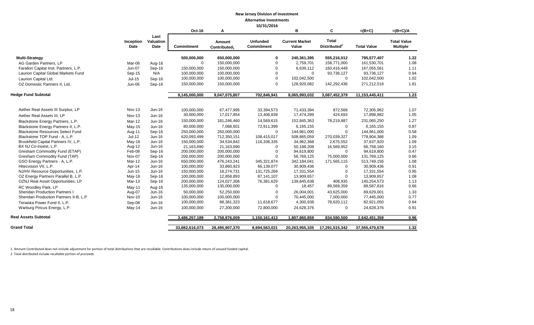| Alternative investments |  |
|-------------------------|--|
| 10/31/2016              |  |

|                                         |                   |                           | <b>Oct-16</b>     | A                                  |                                      | в                              | C                                        | $=(B+C)$           | $=(B+C)/A$                            |
|-----------------------------------------|-------------------|---------------------------|-------------------|------------------------------------|--------------------------------------|--------------------------------|------------------------------------------|--------------------|---------------------------------------|
|                                         | Inception<br>Date | Last<br>Valuation<br>Date | <b>Commitment</b> | Amount<br>Contributed <sub>1</sub> | <b>Unfunded</b><br><b>Commitment</b> | <b>Current Market</b><br>Value | <b>Total</b><br>Distributed <sup>2</sup> | <b>Total Value</b> | <b>Total Value</b><br><b>Multiple</b> |
| <b>Multi-Strategy</b>                   |                   |                           | 500,000,000       | 650,000,000                        | 0                                    | 240,361,395                    | 555,216,012                              | 795,577,407        | 1.22                                  |
| AG Garden Partners, LP                  | Mar-06            | Aug-16                    | $\mathbf 0$       | 150,000,000                        | $\Omega$                             | 2,759,701                      | 158,771,000                              | 161,530,701        | 1.08                                  |
| Farallon Capital Inst. Partners, L.P.   | Jun-07            | Sep-16                    | 150,000,000       | 150,000,000                        | $\Omega$                             | 6,639,112                      | 160,416,449                              | 167,055,561        | 1.11                                  |
| Laurion Capital Global Markets Fund     | Sep-15            | N/A                       | 100,000,000       | 100,000,000                        | $\Omega$                             | $\Omega$                       | 93,736,127                               | 93,736,127         | 0.94                                  |
| Laurion Capital Ltd.                    | $Jul-15$          | Sep-16                    | 100,000,000       | 100,000,000                        | $\Omega$                             | 102,042,500                    | $\mathbf 0$                              | 102,042,500        | 1.02                                  |
| OZ Domestic Partners II, Ltd.           | Jun-06            | Sep-16                    | 150,000,000       | 150,000,000                        | $\Omega$                             | 128,920,082                    | 142,292,436                              | 271,212,518        | 1.81                                  |
| <b>Hedge Fund Subtotal</b>              |                   |                           | 9,145,000,000     | 9,047,075,807                      | 702,846,941                          | 8,065,993,032                  | 3,087,452,379                            | 11, 153, 445, 411  | 1.23                                  |
|                                         |                   |                           |                   |                                    |                                      |                                |                                          |                    |                                       |
| Aether Real Assets III Surplus, LP      | <b>Nov-13</b>     | Jun-16                    | 100,000,000       | 67,477,995                         | 33,394,573                           | 71,433,394                     | 872,568                                  | 72,305,962         | 1.07                                  |
| Aether Real Assets III. LP              | <b>Nov-13</b>     | Jun-16                    | 30,000,000        | 17,017,854                         | 13,406,839                           | 17,474,289                     | 424,693                                  | 17,898,982         | 1.05                                  |
| Blackstone Energy Partners, L.P.        | <b>Mar-12</b>     | Jun-16                    | 150,000,000       | 181,246,460                        | 14,569,615                           | 152,845,363                    | 78,219,887                               | 231,065,250        | 1.27                                  |
| Blackstone Energy Partners II, L.P.     | $May-15$          | Jun-16                    | 80,000,000        | 7,088,601                          | 72,911,399                           | 6,165,155                      | $\Omega$                                 | 6,165,155          | 0.87                                  |
| <b>Blackstone Resources Select Fund</b> | Aug-11            | Sep-16                    | 250,000,000       | 250,000,000                        | $\Omega$                             | 144,961,000                    | $\overline{0}$                           | 144,961,000        | 0.58                                  |
| Blackstone TOP Fund - A, L.P.           | $Jul-12$          | Jun-16                    | 620,093,499       | 712,350,151                        | 108,415,017                          | 508,865,059                    | 270,039,327                              | 778,904,386        | 1.09                                  |
| Brookfield Capital Partners IV, L.P.    | May-16            | <b>Jun-16</b>             | 150,000,000       | 34,534,842                         | 116,336,335                          | 34,962,368                     | 2,675,552                                | 37,637,920         | 1.09                                  |
| BX NJ Co-Invest, L.P.                   | Aug-12            | Jun-16                    | 21,163,690        | 21,163,690                         | $\Omega$                             | 50,188,208                     | 16,569,952                               | 66,758,160         | 3.15                                  |
| Gresham Commodity Fund (ETAP)           | Feb-08            | Sep-16                    | 200,000,000       | 200,000,000                        | $\Omega$                             | 94,619,800                     | $\Omega$                                 | 94,619,800         | 0.47                                  |
| Gresham Commodity Fund (TAP)            | Nov-07            | Sep-16                    | 200,000,000       | 200,000,000                        |                                      | 56,769,125                     | 75,000,000                               | 131,769,125        | 0.66                                  |
| GSO Energy Partners - A, L.P.           | <b>Mar-12</b>     | Jun-16                    | 650,000,000       | 476,243,241                        | 345, 321, 874                        | 342,184,041                    | 171,565,115                              | 513,749,156        | 1.08                                  |
| Hitecvision VII, L.P.                   | Apr-14            | Jun-16                    | 100,000,000       | 33,860,923                         | 66,139,077                           | 30,909,436                     | $\Omega$                                 | 30,909,436         | 0.91                                  |
| NJ/HV Resource Opportunities, L.P.      | Jun-15            | Jun-16                    | 150,000,000       | 18,274,731                         | 131,725,269                          | 17,331,554                     | $\Omega$                                 | 17,331,554         | 0.95                                  |
| OZ Energy Partners Parallel B, L.P.     | May-16            | Sep-16                    | 100,000,000       | 12,858,893                         | 87,141,107                           | 13,909,657                     | $\Omega$                                 | 13,909,657         | 1.08                                  |
| OZNJ Real Asset Opportunities, LP       | Mar-13            | Sep-16                    | 200,000,000       | 124,027,306                        | 76,381,629                           | 139,845,638                    | 408,935                                  | 140,254,573        | 1.13                                  |
| RC Woodlev Park, LP                     | $May-11$          | Aug-16                    | 135,000,000       | 135,000,000                        | $\Omega$                             | 18,457                         | 89,569,359                               | 89,587,816         | 0.66                                  |
| <b>Sheridan Production Partners I</b>   | Aug-07            | Jun-16                    | 50,000,000        | 52,250,000                         | $\Omega$                             | 26,004,001                     | 43,625,000                               | 69,629,001         | 1.33                                  |
| Sheridan Production Partners II-B, L.P  | <b>Nov-10</b>     | Jun-16                    | 100,000,000       | 100,000,000                        | $\Omega$                             | 70,445,000                     | 7,000,000                                | 77,445,000         | 0.77                                  |
| Tenaska Power Fund II, L.P.             | Sep-08            | $Jun-16$                  | 100,000,000       | 88,381,323                         | 11,618,677                           | 4,300,938                      | 78,620,112                               | 82,921,050         | 0.94                                  |
| Warburg Pincus Energy, L.P.             | May-14            | Jun-16                    | 100,000,000       | 27,200,000                         | 72,800,000                           | 24,628,376                     | $\mathbf 0$                              | 24,628,376         | 0.91                                  |
| <b>Real Assets Subtotal</b>             |                   |                           | 3,486,257,189     | 2,758,976,009                      | 1,150,161,413                        | 1,807,860,859                  | 834,590,500                              | 2,642,451,359      | 0.96                                  |
| <b>Grand Total</b>                      |                   |                           | 33,882,616,073    | 28,495,907,370                     | 8,694,563,021                        | 20,263,955,335                 | 17,291,515,342                           | 37,555,470,678     | 1.32                                  |
|                                         |                   |                           |                   |                                    |                                      |                                |                                          |                    |                                       |

1. Amount Contributed does not include adjustment for portion of total distributions that are recallable. Contributions does include return of unused funded capital. 2. Total distributed include recallable portion of proceeds.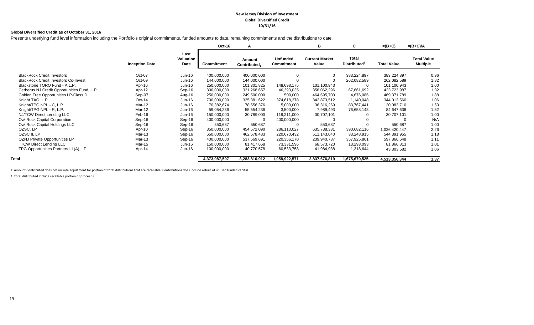#### **New Jersey Division of Investment Global Diversified Credit 10/31/16**

#### **Global Diversified Credit as of October 31, 2016**

Presents underlying fund level information including the Portfolio's original commitments, funded amounts to date, remaining commitments and the distributions to date.

|                                             |                       |                           | Oct-16        | A                                  |                                      | в                              | C                                 | $=(B+C)$           | $=(B+C)/A$                            |
|---------------------------------------------|-----------------------|---------------------------|---------------|------------------------------------|--------------------------------------|--------------------------------|-----------------------------------|--------------------|---------------------------------------|
|                                             | <b>Inception Date</b> | Last<br>Valuation<br>Date | Commitment    | Amount<br>Contributed <sub>1</sub> | <b>Unfunded</b><br><b>Commitment</b> | <b>Current Market</b><br>Value | Total<br>Distributed <sup>2</sup> | <b>Total Value</b> | <b>Total Value</b><br><b>Multiple</b> |
| <b>BlackRock Credit Investors</b>           | Oct-07                | Jun-16                    | 400,000,000   | 400,000,000                        | $\Omega$                             |                                | 383,224,897                       | 383,224,897        | 0.96                                  |
| <b>BlackRock Credit Investors Co-Invest</b> | Oct-09                | Jun-16                    | 144,000,000   | 144,000,000                        |                                      |                                | 262,082,589                       | 262,082,589        | 1.82                                  |
| Blackstone TORO Fund - A L.P.               | Apr-16                | Jun-16                    | 250,000,000   | 101,301,825                        | 148,698,175                          | 101,100,943                    |                                   | 101,100,943        | 1.00                                  |
| Cerberus NJ Credit Opportunities Fund, L.P. | Apr-12                | Sep-16                    | 300,000,000   | 321,268,657                        | 46,393,035                           | 356,062,296                    | 67,661,692                        | 423,723,987        | 1.32                                  |
| Golden Tree Opportunities LP-Class D        | Sep-07                | Aug-16                    | 250,000,000   | 249,500,000                        | 500,000                              | 464,695,703                    | 4,676,086                         | 469,371,789        | 1.88                                  |
| Knight TAO, L.P.                            | $Oct-14$              | Jun-16                    | 700,000,000   | 325,381,622                        | 374,618,378                          | 342,873,512                    | 1,140,048                         | 344,013,560        | 1.06                                  |
| Knight/TPG NPL - C, L.P.                    | Mar-12                | Jun-16                    | 70,382,674    | 78,556,376                         | 5,000,000                            | 36,316,269                     | 83,767,441                        | 120,083,710        | 1.53                                  |
| Knight/TPG NPL - R, L.P.                    | Mar-12                | Jun-16                    | 59,054,236    | 55,554,236                         | 3,500,000                            | 7,989,493                      | 76,658,143                        | 84,647,636         | 1.52                                  |
| NJ/TCW Direct Lending LLC                   | Feb-16                | Jun-16                    | 150,000,000   | 30,789,000                         | 119,211,000                          | 30,707,101                     |                                   | 30,707,101         | 1.00                                  |
| Owl Rock Capital Corporation                | Sep-16                | Sep-16                    | 400,000,000   |                                    | 400,000,000                          |                                |                                   |                    | N/A                                   |
| Owl Rock Capital Holdings LLC               | Sep-16                | Sep-16                    | 550,687       | 550,687                            |                                      | 550,687                        |                                   | 550,687            | 1.00                                  |
| OZSC, LP                                    | Apr-10                | Sep-16                    | 350,000,000   | 454,572,090                        | 286,110,027                          | 635,738,331                    | 390,682,116                       | 1,026,420,447      | 2.26                                  |
| OZSC II, LP                                 | Mar-13                | Sep-16                    | 650,000,000   | 462,578,483                        | 220,670,432                          | 511,143,040                    | 33,248,915                        | 544,391,955        | 1.18                                  |
| OZNJ Private Opportunities LP               | Mar-13                | Sep-16                    | 400,000,000   | 537,569,691                        | 220,356,170                          | 239,940,787                    | 357,925,861                       | 597,866,648        | 1.11                                  |
| <b>TCW Direct Lending LLC</b>               | Mar-15                | Jun-16                    | 150,000,000   | 81,417,668                         | 73,331,596                           | 68,573,720                     | 13,293,093                        | 81,866,813         | 1.01                                  |
| TPG Opportunities Partners III (A), LP      | Apr-14                | Jun-16                    | 100,000,000   | 40,770,578                         | 60,533,758                           | 41,984,938                     | 1,318,644                         | 43,303,582         | 1.06                                  |
| Total                                       |                       |                           | 4,373,987,597 | 3,283,810,912                      | 1,958,922,571                        | 2,837,676,819                  | 1,675,679,525                     | 4,513,356,344      | 1.37                                  |

1. Amount Contributed does not include adjustment for portion of total distributions that are recallable. Contributions does include return of unused funded capital.

2. Total distributed include recallable portion of proceeds.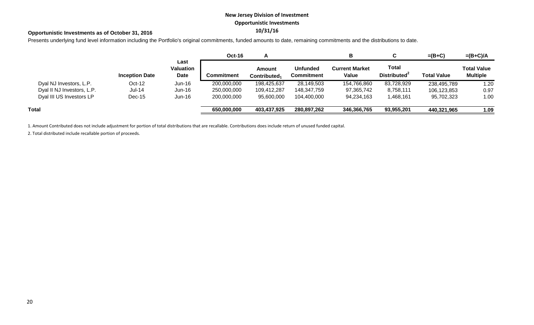## **New Jersey Division of Investment Opportunistic Investments**

## **10/31/16 Opportunistic Investments as of October 31, 2016**

Presents underlying fund level information including the Portfolio's original commitments, funded amounts to date, remaining commitments and the distributions to date.

|                            |                       |                           | <b>Oct-16</b> | Γ                                  |                                      | в                              |                                          | $=(B+C)$           | $=(B+C)/A$                            |
|----------------------------|-----------------------|---------------------------|---------------|------------------------------------|--------------------------------------|--------------------------------|------------------------------------------|--------------------|---------------------------------------|
|                            | <b>Inception Date</b> | Last<br>Valuation<br>Date | Commitment    | Amount<br>Contributed <sub>1</sub> | <b>Unfunded</b><br><b>Commitment</b> | <b>Current Market</b><br>Value | <b>Total</b><br>Distributed <sup>2</sup> | <b>Total Value</b> | <b>Total Value</b><br><b>Multiple</b> |
| Dyal NJ Investors, L.P.    | $Oct-12$              | $Jun-16$                  | 200,000,000   | 198,425,637                        | 28,149,503                           | 154,766,860                    | 83,728,929                               | 238,495,789        | 1.20                                  |
| Dyal II NJ Investors, L.P. | <b>Jul-14</b>         | $Jun-16$                  | 250,000,000   | 109,412,287                        | 148,347,759                          | 97,365,742                     | 8,758,111                                | 106,123,853        | 0.97                                  |
| Dyal III US Investors LP   | $Dec-15$              | $Jun-16$                  | 200,000,000   | 95,600,000                         | 104,400,000                          | 94,234,163                     | 1,468,161                                | 95,702,323         | 1.00                                  |
| Total                      |                       |                           | 650,000,000   | 403,437,925                        | 280,897,262                          | 346,366,765                    | 93,955,201                               | 440,321,965        | 1.09                                  |

1. Amount Contributed does not include adjustment for portion of total distributions that are recallable. Contributions does include return of unused funded capital.

2. Total distributed include recallable portion of proceeds.